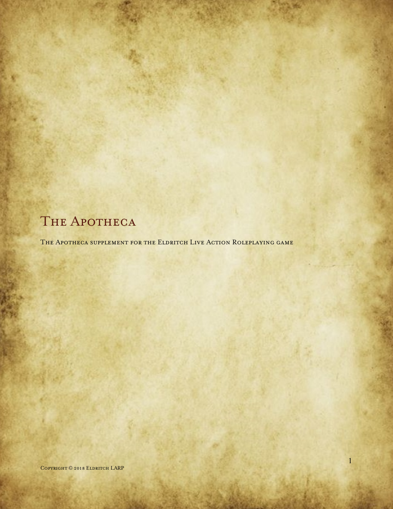# THE APOTHECA

THE APOTHECA SUPPLEMENT FOR THE ELDRITCH LIVE ACTION ROLEPLAYING GAME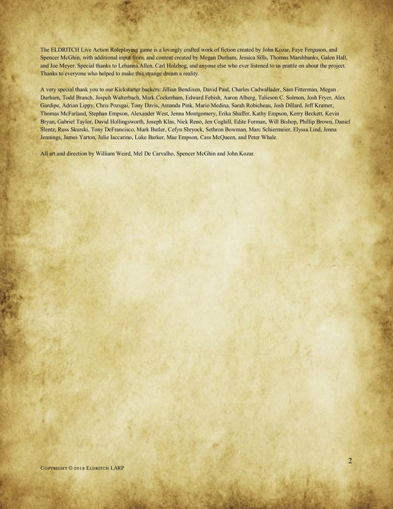The ELDRITCH Live Action Roleplaying game is a lovingly crafted work of fiction created by John Kozar, Faye Ferguson, and Spencer McGhin, with additional input from, and content created by Megan Durham, Jessica Sills, Thomas Marshbanks, Galen Hall, and Joe Meyer. Special thanks to Lehanna Allen, Carl Holzbog, and anyone else who ever listened to us prattle on about the project. Thanks to everyone who helped to make this strange dream a reality.

A very special thank you to our Kickstarter backers: Jillian Bendixen, David Paul, Charles Cadwallader, Sam Fitterman, Megan Durham, Todd Branch, Jospeh Walterbach, Mark Cockerham, Edward Febish, Aaron Alberg, Talieson C. Solmon, Josh Fryer, Alex Gardipe, Adrian Lippy, Chris Pozsgai, Tony Davis, Amanda Pink, Mario Medina, Sarah Robicheau, Josh Dillard, Jeff Kramer, Thomas McFarland, Stephan Empson, Alexander West, Jenna Montgomery, Erika Shaffer, Kathy Empson, Kerry Beckett, Kevin Bryan, Gabriel Taylor, David Hollingsworth, Joseph Klas, Nick Reno, Jen Coghill, Edite Forman, Will Bishop, Phillip Brown, Daniel Slentz, Russ Skurski, Tony DeFrancisco, Mark Butler, Cefyn Shryock, Sethron Bowman, Marc Schiermeier, Elyssa Lind, Jenna Jennings, James Yarton, Julie Iaccarino, Luke Barker, Mae Empson, Cass McQueen, and Peter Whale.

All art and direction by William Weird, Mel De Carvalho, Spencer McGhin and John Kozar.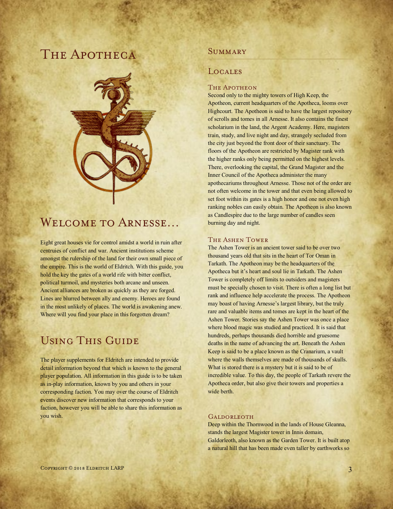# THE APOTHECA



# Welcome to Arnesse…

Eight great houses vie for control amidst a world in ruin after centruies of conflict and war. Ancient institutions scheme amongst the rulership of the land for their own small piece of the empire. This is the world of Eldritch. With this guide, you hold the key the gates of a world rife with bitter conflict, political turmoil, and mysteries both arcane and unseen. Ancient alliances are broken as quickly as they are forged. Lines are blurred between ally and enemy. Heroes are found in the most unlikely of places. The world is awakening anew. Where will you find your place in this forgotten dream?

# Using This Guide

The player supplements for Eldritch are intended to provide detail information beyond that which is known to the general player population. All information in this guide is to be taken as in-play information, known by you and others in your corresponding faction. You may over the course of Eldritch events discover new information that corresponds to your faction, however you will be able to share this information as you wish.

# **SUMMARY**

# **LOCALES**

#### THE APOTHEON

Second only to the mighty towers of High Keep, the Apotheon, current headquarters of the Apotheca, looms over Highcourt. The Apotheon is said to have the largest repository of scrolls and tomes in all Arnesse. It also contains the finest scholarium in the land, the Argent Academy. Here, magisters train, study, and live night and day, strangely secluded from the city just beyond the front door of their sanctuary. The floors of the Apotheon are restricted by Magister rank with the higher ranks only being permitted on the highest levels. There, overlooking the capital, the Grand Magister and the Inner Council of the Apotheca administer the many apothecariums throughout Arnesse. Those not of the order are not often welcome in the tower and that even being allowed to set foot within its gates is a high honor and one not even high ranking nobles can easily obtain. The Apotheon is also known as Candlespire due to the large number of candles seen burning day and night.

## The Ashen Tower

The Ashen Tower is an ancient tower said to be over two thousand years old that sits in the heart of Tor Oman in Tarkath. The Apotheon may be the headquarters of the Apotheca but it's heart and soul lie in Tarkath. The Ashen Tower is completely off limits to outsiders and magisters must be specially chosen to visit. There is often a long list but rank and influence help accelerate the process. The Apotheon may boast of having Arnesse's largest library, but the truly rare and valuable items and tomes are kept in the heart of the Ashen Tower. Stories say the Ashen Tower was once a place where blood magic was studied and practiced. It is said that hundreds, perhaps thousands died horrible and gruesome deaths in the name of advancing the art. Beneath the Ashen Keep is said to be a place known as the Cranarium, a vault where the walls themselves are made of thousands of skulls. What is stored there is a mystery but it is said to be of incredible value. To this day, the people of Tarkath revere the Apotheca order, but also give their towers and properties a wide berth.

#### **GALDORLEOTH**

Deep within the Thornwood in the lands of House Gleanna, stands the largest Magister tower in Innis domain, Galdorleoth, also known as the Garden Tower. It is built atop a natural hill that has been made even taller by earthworks so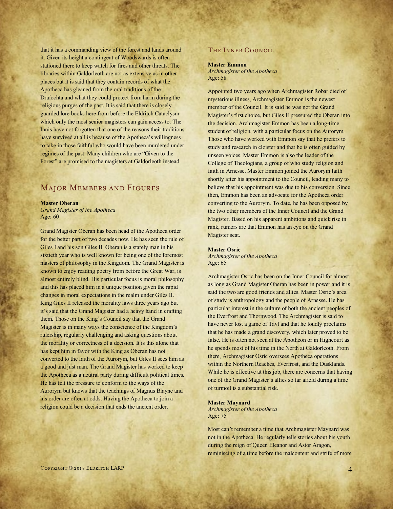that it has a commanding view of the forest and lands around it. Given its height a contingent of Woodswards is often stationed there to keep watch for fires and other threats. The libraries within Galdorleoth are not as extensive as in other places but it is said that they contain records of what the Apotheca has gleaned from the oral traditions of the Draíochta and what they could protect from harm during the religious purges of the past. It is said that there is closely guarded lore books here from before the Eldritch Cataclysm which only the most senior magisters can gain access to. The Innis have not forgotten that one of the reasons their traditions have survived at all is because of the Apotheca's willingness to take in those faithful who would have been murdered under regimes of the past. Many children who are "Given to the Forest" are promised to the magisters at Galdorleoth instead.

# Major Members and Figures

#### **Master Oberan**

*Grand Magister of the Apotheca* Age: 60

Grand Magister Oberan has been head of the Apotheca order for the better part of two decades now. He has seen the rule of Giles I and his son Giles II. Oberan is a stately man in his sixtieth year who is well known for being one of the foremost masters of philosophy in the Kingdom. The Grand Magister is known to enjoy reading poetry from before the Great War, is almost entirely blind. His particular focus is moral philosophy and this has placed him in a unique position given the rapid changes in moral expectations in the realm under Giles II. King Giles II released the morality laws three years ago but it's said that the Grand Magister had a heavy hand in crafting them. Those on the King's Council say that the Grand Magister is in many ways the conscience of the Kingdom's rulership, regularly challenging and asking questions about the morality or correctness of a decision. It is this alone that has kept him in favor with the King as Oberan has not converted to the faith of the Aurorym, but Giles II sees him as a good and just man. The Grand Magister has worked to keep the Apotheca as a neutral party during difficult political times. He has felt the pressure to conform to the ways of the Aurorym but knows that the teachings of Magnus Blayne and his order are often at odds. Having the Apotheca to join a religion could be a decision that ends the ancient order.

## The Inner Council

#### **Master Emmon**

*Archmagister of the Apotheca* Age: 58

Appointed two years ago when Archmagister Robar died of mysterious illness, Archmagister Emmon is the newest member of the Council. It is said he was not the Grand Magister's first choice, but Giles II pressured the Oberan into the decision. Archmagister Emmon has been a long-time student of religion, with a particular focus on the Aurorym. Those who have worked with Emmon say that he prefers to study and research in cloister and that he is often guided by unseen voices. Master Emmon is also the leader of the College of Theologians, a group of who study religion and faith in Arnesse. Master Emmon joined the Aurorym faith shortly after his appointment to the Council, leading many to believe that his appointment was due to his conversion. Since then, Emmon has been an advocate for the Apotheca order converting to the Aurorym. To date, he has been opposed by the two other members of the Inner Council and the Grand Magister. Based on his apparent ambitions and quick rise in rank, rumors are that Emmon has an eye on the Grand Magister seat.

#### **Master Osric**

*Archmagister of the Apotheca* Age: 65

Archmagister Osric has been on the Inner Council for almost as long as Grand Magister Oberan has been in power and it is said the two are good friends and allies. Master Osric's area of study is anthropology and the people of Arnesse. He has particular interest in the culture of both the ancient peoples of the Everfrost and Thornwood. The Archmagister is said to have never lost a game of Tavl and that he loudly proclaims that he has made a grand discovery, which later proved to be false. He is often not seen at the Apotheon or in Highcourt as he spends most of his time in the North at Galdorleoth. From there, Archmagister Osric oversees Apotheca operations within the Northern Reaches, Everfrost, and the Dusklands. While he is effective at this job, there are concerns that having one of the Grand Magister's allies so far afield during a time of turmoil is a substantial risk.

#### **Master Maynard**

*Archmagister of the Apotheca* Age: 75

Most can't remember a time that Archmagister Maynard was not in the Apotheca. He regularly tells stories about his youth during the reign of Queen Eleanor and Astor Aragon, reminiscing of a time before the malcontent and strife of more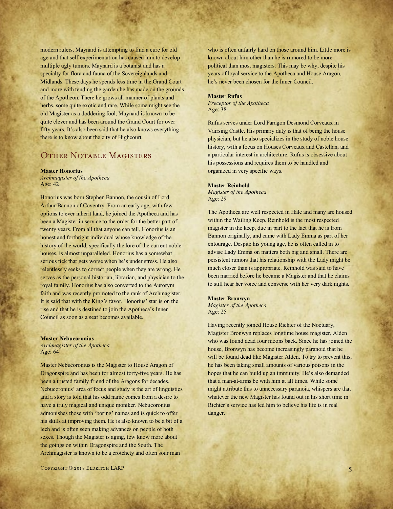modern rulers. Maynard is attempting to find a cure for old age and that self-experimentation has caused him to develop multiple ugly tumors. Maynard is a botanist and has a specialty for flora and fauna of the Sovereignlands and Midlands. These days he spends less time in the Grand Court and more with tending the garden he has made on the grounds of the Apotheon. There he grows all manner of plants and herbs, some quite exotic and rare. While some might see the old Magister as a doddering fool, Maynard is known to be quite clever and has been around the Grand Court for over fifty years. It's also been said that he also knows everything there is to know about the city of Highcourt.

# OTHER NOTABLE MAGISTERS

#### **Master Honorius**

*Archmagister of the Apotheca* Age: 42

Honorius was born Stephen Bannon, the cousin of Lord Arthur Bannon of Coventry. From an early age, with few options to ever inherit land, he joined the Apotheca and has been a Magister in service to the order for the better part of twenty years. From all that anyone can tell, Honorius is an honest and forthright individual whose knowledge of the history of the world, specifically the lore of the current noble houses, is almost unparalleled. Honorius has a somewhat serious tick that gets worse when he's under stress. He also relentlessly seeks to correct people when they are wrong. He serves as the personal historian, librarian, and physician to the royal family. Honorius has also converted to the Aurorym faith and was recently promoted to the rank of Archmagister. It is said that with the King's favor, Honorius' star is on the rise and that he is destined to join the Apotheca's Inner Council as soon as a seat becomes available.

#### **Master Nebucoronius**

*Archmagister of the Apotheca* Age: 64

Master Nebucoronius is the Magister to House Aragon of Dragonspire and has been for almost forty-five years. He has been a trusted family friend of the Aragons for decades. Nebucoronius' area of focus and study is the art of linguistics and a story is told that his odd name comes from a desire to have a truly magical and unique moniker. Nebucoronius admonishes those with 'boring' names and is quick to offer his skills at improving them. He is also known to be a bit of a lech and is often seen making advances on people of both sexes. Though the Magister is aging, few know more about the goings on within Dragonspire and the South. The Archmagister is known to be a crotchety and often sour man

who is often unfairly hard on those around him. Little more is known about him other than he is rumored to be more political than most magisters. This may be why, despite his years of loyal service to the Apotheca and House Aragon, he's never been chosen for the Inner Council.

#### **Master Rufus**

*Preceptor of the Apotheca* Age: 38

Rufus serves under Lord Paragon Desmond Corveaux in Vairsing Castle. His primary duty is that of being the house physician, but he also specializes in the study of noble house history, with a focus on Houses Corveaux and Castellan, and a particular interest in architecture. Rufus is obsessive about his possessions and requires them to be handled and organized in very specific ways.

#### **Master Reinhold**

*Magister of the Apotheca* Age: 29

The Apotheca are well respected in Hale and many are housed within the Wailing Keep. Reinhold is the most respected magister in the keep, due in part to the fact that he is from Bannon originally, and came with Lady Emma as part of her entourage. Despite his young age, he is often called in to advise Lady Emma on matters both big and small. There are persistent rumors that his relationship with the Lady might be much closer than is appropriate. Reinhold was said to have been married before he became a Magister and that he claims to still hear her voice and converse with her very dark nights.

#### **Master Bronwyn**

*Magister of the Apotheca* Age: 25

Having recently joined House Richter of the Noctuary, Magister Bronwyn replaces longtime house magister, Alden who was found dead four moons back. Since he has joined the house, Bronwyn has become increasingly paranoid that he will be found dead like Magister Alden. To try to prevent this, he has been taking small amounts of various poisons in the hopes that he can build up an immunity. He's also demanded that a man-at-arms be with him at all times. While some might attribute this to unnecessary paranoia, whispers are that whatever the new Magister has found out in his short time in Richter's service has led him to believe his life is in real danger.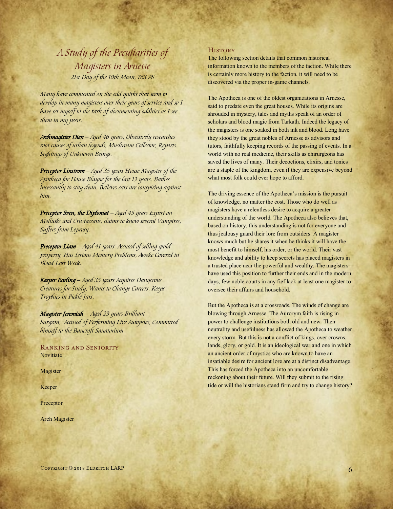# *A Study of the Peculiarities of Magisters in Arnesse 21st Day of the 10th Moon, 763 AS*

*Many have commented on the odd quirks that seem to develop in many magisters over their years of service and so I have set myself to the task of documenting oddities as I see them in my peers.* 

*Archmagister Dien – Aged 46 years, Obsessively researches root causes of urban legends, Mushroom Collector, Reports Sightings of Unknown Beings.*

*Preceptor Linstrom – Aged 35 years House Magister of the Apotheca for House Blayne for the last 13 years. Bathes incessantly to stay clean. Believes cats are conspiring against him.*

*Preceptor Sven, the Diplomat – Aged 45 years Expert on Mollusks and Crustaceans, claims to know several Vampires, Suffers from Leprosy.*

*Preceptor Liam – Aged 41 years. Accused of selling guild property, Has Serious Memory Problems, Awoke Covered in Blood Last Week.* 

*Keeper Earling – Aged 35 years Acquires Dangerous Creatures for Study, Wants to Change Careers, Keeps Trophies in Pickle Jars.*

*Magister Jeremiah - Aged 23 years Brilliant Surgeon, Accused of Performing Live Autopsies, Committed himself to the Bancroft Sanatorium*

Ranking and Seniority **Novitiate** 

Magister

Keeper

Preceptor

Arch Magister

#### **HISTORY**

The following section details that common historical information known to the members of the faction. While there is certainly more history to the faction, it will need to be discovered via the proper in-game channels.

The Apotheca is one of the oldest organizations in Arnesse, said to predate even the great houses. While its origins are shrouded in mystery, tales and myths speak of an order of scholars and blood magic from Tarkath. Indeed the legacy of the magisters is one soaked in both ink and blood. Long have they stood by the great nobles of Arnesse as advisors and tutors, faithfully keeping records of the passing of events. In a world with no real medicine, their skills as chirurgeons has saved the lives of many. Their decoctions, elixirs, and tonics are a staple of the kingdom, even if they are expensive beyond what most folk could ever hope to afford.

The driving essence of the Apotheca's mission is the pursuit of knowledge, no matter the cost. Those who do well as magisters have a relentless desire to acquire a greater understanding of the world. The Apotheca also believes that, based on history, this understanding is not for everyone and thus jealousy guard their lore from outsiders. A magister knows much but he shares it when he thinks it will have the most benefit to himself, his order, or the world. Their vast knowledge and ability to keep secrets has placed magisters in a trusted place near the powerful and wealthy. The magisters have used this position to further their ends and in the modern days, few noble courts in any fief lack at least one magister to oversee their affairs and household.

But the Apotheca is at a crossroads. The winds of change are blowing through Arnesse. The Aurorym faith is rising in power to challenge institutions both old and new. Their neutrality and usefulness has allowed the Apotheca to weather every storm. But this is not a conflict of kings, over crowns, lands, glory, or gold. It is an ideological war and one in which an ancient order of mystics who are known to have an insatiable desire for ancient lore are at a distinct disadvantage. This has forced the Apotheca into an uncomfortable reckoning about their future. Will they submit to the rising tide or will the historians stand firm and try to change history?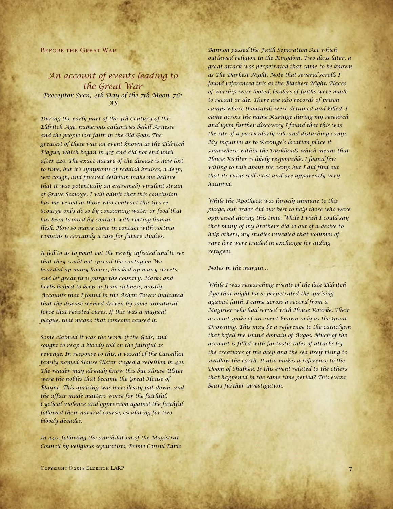#### Before the Great War

# *An account of events leading to the Great War Preceptor Sven, 4th Day of the 7th Moon, 761 AS*

*During the early part of the 4th Century of the Eldritch Age, numerous calamities befell Arnesse and the people lost faith in the Old Gods. The greatest of these was an event known as the Eldritch Plague, which began in 415 and did not end until after 420. The exact nature of the disease is now lost to time, but it's symptoms of reddish bruises, a deep, wet cough, and fevered delirium make me believe that it was potentially an extremely virulent strain of Grave Scourge. I will admit that this conclusion has me vexed as those who contract this Grave Scourge only do so by consuming water or food that has been tainted by contact with rotting human flesh. How so many came in contact with rotting remains is certainly a case for future studies.*

*It fell to us to point out the newly infected and to see that they could not spread the contagion We boarded up many houses, bricked up many streets, and let great fires purge the country. Masks and herbs helped to keep us from sickness, mostly. Accounts that I found in the Ashen Tower indicated that the disease seemed driven by some unnatural force that resisted cures. If this was a magical plague, that means that someone caused it.*

*Some claimed it was the work of the Gods, and sought to reap a bloody toll on the faithful as revenge. In response to this, a vassal of the Castellan family named House Ulster staged a rebellion in 421. The reader may already know this but House Ulster were the nobles that became the Great House of Blayne. This uprising was mercilessly put down, and the affair made matters worse for the faithful. Cyclical violence and oppression against the faithful followed their natural course, escalating for two bloody decades.*

*In 440, following the annihilation of the Magistrat Council by religious separatists, Prime Consul Edric* 

*Bannon passed the Faith Separation Act which outlawed religion in the Kingdom. Two days later, a great attack was perpetrated that came to be known as The Darkest Night. Note that several scrolls I found referenced this as the Blackest Night. Places of worship were looted, leaders of faiths were made to recant or die. There are also records of prison camps where thousands were detained and killed. I came across the name Karnige during my research and upon further discovery I found that this was the site of a particularly vile and disturbing camp. My inquiries as to Karnige's location place it somewhere within the Dusklands which means that House Richter is likely responsible. I found few willing to talk about the camp but I did find out that its ruins still exist and are apparently very haunted.*

*While the Apotheca was largely immune to this purge, our order did our best to help those who were oppressed during this time. While I wish I could say that many of my brothers did so out of a desire to help others, my studies revealed that volumes of rare lore were traded in exchange for aiding refugees.*

*Notes in the margin…*

*While I was researching events of the late Eldritch Age that might have perpetrated the uprising against faith, I came across a record from a Magister who had served with House Rourke. Their account spoke of an event known only as the Great Drowning. This may be a reference to the cataclysm that befell the island domain of Argos. Much of the account is filled with fantastic tales of attacks by the creatures of the deep and the sea itself rising to swallow the earth. It also makes a reference to the Doom of Shalnea. Is this event related to the others that happened in the same time period? This event bears further investigation.*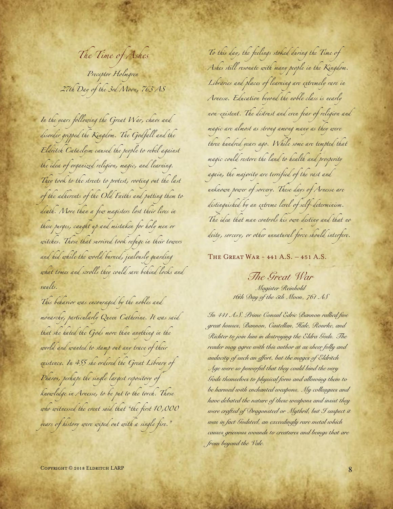*The Time of Ashes Preceptor Holmgren 27th Day of the 3rd Moon, 763 AS*

*In the years following the Great War, chaos and disorder gripped the Kingdom. The Godfall and the Eldritch Cataclysm caused the people to rebel against the idea of organized religion, magic, and learning. They took to the streets to protest, rooting out the last of the adherents of the Old Faiths and putting them to death. More than a few magisters lost their lives in these purges, caught up and mistaken for holy men or witches. Those that survived took refuge in their towers and hid while the world burned, jealously guarding what tomes and scrolls they could save behind locks and vaults.*

*This behavior was encouraged by the nobles and monarchy, particularly Queen Catherine. It was said that she hated the Gods more than anything in the world and wanted to stamp out any trace of their existence. In 455 she ordered the Great Library of Pharos, perhaps the single largest repository of knowledge in Arnesse, to be put to the torch. Those who witnessed the event said that "the first 10,000 years of history were wiped out with a single fire."*

*To this day, the feelings stoked during the Time of Ashes still resonate with many people in the Kingdom. Libraries and places of learning are extremely rare in Arnesse. Education beyond the noble class is nearly non-existent. The distrust and even fear of religion and magic are almost as strong among many as they were three hundred years ago. While some are tempted that magic could restore the land to health and prosperity again, the majority are terrified of the vast and unknown power of sorcery. These days of Arnesse are distinguished by an extreme level of self-determinism. The idea that man controls his own destiny and that no deity, sorcery, or other unnatural force should interfere.*

The Great War - 441 A.S. – 451 A.S.

*The Great War Magister Reinhold 16th Day of the 5th Moon, 761 AS*

*In 441 A.S. Prime Consul Edric Bannon rallied five great houses, Bannon, Castellan, Hale, Rourke, and Richter to join him in destroying the Eldra Gods. The reader may agree with this author at as sheer folly and audacity of such an effort, but the mages of Eldritch Age were so powerful that they could bind the very Gods themselves to physical form and allowing them to be harmed with enchanted weapons. My colleagues and have debated the nature of these weapons and insist they were crafted of Dragonsteel or Mythril, but I suspect it was in fact Godsteel, an exceedingly rare metal which causes grievous wounds to creatures and beings that are from beyond the Vale.*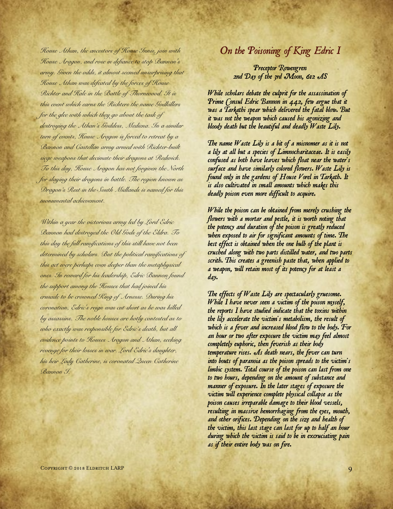*House Athan, the ancestors of House Innis, join with House Aragon, and rose in defiance to stop Bannon's army. Given the odds, it almost seemed unsurprising that House Athan was defeated by the forces of House Richter and Hale in the Battle of Thornwood. It is this event which earns the Richters the name Godkillers for the glee with which they go about the task of destroying the Athan's Goddess, Mediena. In a similar turn of events, House Aragon is forced to retreat by a Bannon and Castellan army armed with Richter-built siege weapons that decimate their dragons at Redwick. To this day, House Aragon has not forgiven the North for slaying their dragons in battle. The region known as Dragon's Rest in the South Midlands is named for this monumental achievement.*

*Within a year the victorious army led by Lord Edric Bannon had destroyed the Old Gods of the Eldra. To this day the full ramifications of this still have not been determined by scholars. But the political ramifications of this act were perhaps even deeper than the metaphysical ones. In reward for his leadership, Edric Bannon found the support among the Houses that had joined his crusade to be crowned King of Arnesse. During his coronation, Edric's reign was cut short as he was killed by assassins. The noble houses are hotly contested as to who exactly was responsible for Edric's death, but all evidence points to Houses Aragon and Athan, seeking revenge for their losses in war. Lord Edric's daughter, his heir Lady Catherine, is coronated Queen Catherine Bannon I.*

# *On the Poisoning of King Edric I*

# *Preceptor Rowengren 2nd Day of the 3rd Moon, 612 AS*

*While scholars debate the culprit for the assassination of Prime Consul Edric Bannon in 442, few argue that it was a Tarkathi spear which delivered the fatal blow. But it was not the weapon which caused his agonizing and bloody death but the beautiful and deadly Waste Lily.*

*The name Waste Lily is a bit of a misnomer as it is not a lily at all but a species of Limnocharitaceae. It is easily confused as both have leaves which float near the water's surface and have similarly colored flowers. Waste Lily is found only in the gardens of House Vorel in Tarkath. It is also cultivated in small amounts which makes this deadly poison even more difficult to acquire.*

*While the poison can be obtained from merely crushing the flowers with a mortar and pestle, it is worth noting that the potency and duration of the poison is greatly reduced when exposed to air for significant amounts of time. The best effect is obtained when the one bulb of the plant is crushed along with two parts distilled water, and two parts scrith. This creates a greenish paste that, when applied to a weapon, will retain most of its potency for at least a day.*

*The effects of Waste Lily are spectacularly gruesome. While I have never seen a victim of the poison myself, the reports I have studied indicate that the toxins within the lily accelerate the victim's metabolism, the result of which is a fever and increased blood flow to the body. For an hour or two after exposure the victim may feel almost completely euphoric, then feverish as their body temperature rises. As death nears, the fever can turn into bouts of paranoia as the poison spreads to the victim's limbic system. Total course of the poison can last from one to two hours, depending on the amount of substance and manner of exposure. In the later stages of exposure the victim will experience complete physical collapse as the poison causes irreparable damage to their blood vessels, resulting in massive hemorrhaging from the eyes, mouth, and other orifices. Depending on the size and health of the victim, this last stage can last for up to half an hour during which the victim is said to be in excruciating pain as if their entire body was on fire.*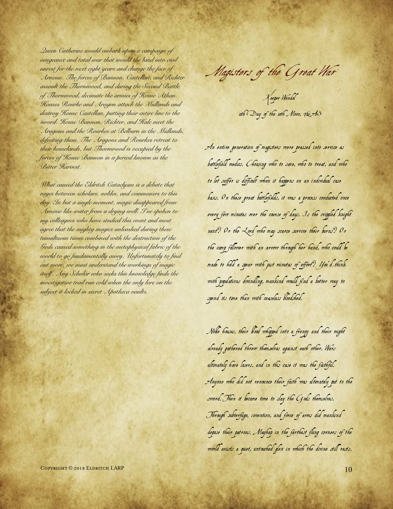*Queen Catherine would embark upon a campaign of vengeance and total war that would the land into civil unrest for the next eight years and change the face of Arnesse. The forces of Bannon, Castellan, and Richter assault the Thornwood, and during the Second Battle of Thornwood, decimate the armies of House Athan. Houses Rourke and Aragon attack the Midlands and destroy House Castellan, putting their entire line to the sword. House Bannon, Richter, and Hale meet the Aragons and the Rourkes at Belburn in the Midlands, defeating them. The Aragons and Rourkes retreat to their homelands, but Thornwood is occupied by the forces of House Bannon in a period known as the Bitter Harvest.*

*What caused the Eldritch Cataclysm is a debate that rages between scholars, nobles, and commoners to this day. In but a single moment, magic disappeared from Arnesse like water from a drying well. I've spoken to my colleagues who have studied this event and most agree that the mighty magics unleashed during these tumultuous times combined with the destruction of the Gods caused something in the metaphysical fabric of the world to go fundamentally awry. Unfortunately to find out more, we must understand the workings of magic itself. Any Scholar who seeks this knowledge finds the investigative trail run cold when the only lore on the subject it locked in secret Apotheca vaults.* 

Keeper Wendel uth Day of the with Moon, 762 AS

An entire generation of magisters were pressed into service as battlefield medics. Choosing who to save, who to treat, and who to let suffer is difficult when it happens on an individual case basis. On these great battlefields, it was a process conducted once every few minutes over the course of days. Is the crippled knight next? Or the Lord who may scarce survive their burns? Or the camp follower with an arrow through her hand, who could be made to hold a spear with just minutes of effort? You'd think with populations dwindling, mankind would find a better way to spend its time than with ceaseless bloodshed.

Noble houses, their blood whipped into a frenzy and their might already gathered threw themselves against each other. Wars ultimately have losers, and in this case it was the faithful. Anyone who did not renounce their faith was ultimately put to the sword. Then it became time to slay the Gods themselves. Through subterfuge, invention, and force of arms did mankind depose their patrons. Mayhap in the farthest flung corners of the world exists a quiet, untouched glen in which the divine still rests.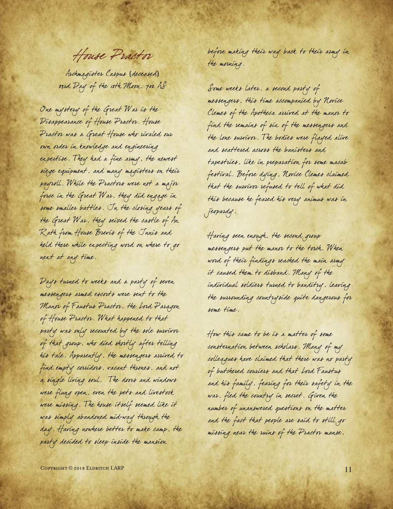House Practor

Archmagister Caspus (deceased) 23rd Day of the 12th Moon, 702 AS

One mystery of the Great War is the Disappearance of House Practor. House Practor was a Great House who rivaled our own order in knowledge and engineering expertise. They had a fine army, the newest siege equipment, and many magisters on their payroll. While the Practors were not a major force in the Great War. they did engage in some smaller battles. In the closing years of the Great War, they seized the castle of An Rath from House Brevis of the Innis and held there while expecting word on where to go next at any time.

Days turned to weeks and a party of seven messengers armed escorts were sent to the Manor of Faustus Practor, the Lord Paragon of House Practor. What happened to that party was only recounted by the sole survivor of that group, who died shortly after telling his tale. Apparently, the messengers arrived to find empty corridors, vacant thrones, and not a single living soul. The doors and windows were flung open, even the pets and livestock were missing. The house itself seemed like it was simply abandoned mid-way through the day. Having nowhere better to make camp, the party decided to sleep inside the mansion

before making their way back to their army in the morning.

Some weeks later, a second party of messengers, this time accompanied by Novice Clemes of the Apotheca arrived at the manor to find the remains of six of the messengers and the lone survivor. The bodies were flayed alive and scattered across the banisters and tapestries, like in preparation for some macab festival. Before dying, Novice Clemes claimed that the survivor refused to tell of what did this because he feared his very animus was in jeopardy.

Having seen enough, the second group messengers put the manor to the torch. When word of their findings reached the main army it caused them to disband. Many of the individual soldiers turned to banditry, leaving the surrounding countryside quite dangerous for some time.

How this came to be is a matter of some consternation between scholars. Many of my colleagues have claimed that there was no party of butchered couriers and that Lord Faustus and his family, fearing for their safety in the war, fled the country in secret. Given the number of unanswered questions on the matter and the fact that people are said to still go missing near the ruins of the Practor manse,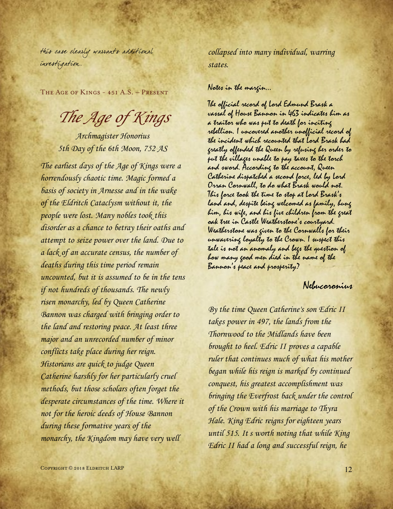this case clearly warrants additional investigation.

The Age of Kings - 451 A.S. – Present

# The Age of Kings

Archmagister Honorius 5th Day of the 6th Moon, 752 AS

The earliest days of the Age of Kings were a horrendously chaotic time. Magic formed a basis of society in Arnesse and in the wake of the Eldritch Cataclysm without it, the people were lost. Many nobles took this disorder as a chance to betray their oaths and attempt to seize power over the land. Due to a lack of an accurate census, the number of deaths during this time period remain uncounted, but it is assumed to be in the tens if not hundreds of thousands. The newly risen monarchy, led by Queen Catherine Bannon was charged with bringing order to the land and restoring peace. At least three major and an unrecorded number of minor conflicts take place during her reign. Historians are quick to judge Queen Catherine harshly for her particularly cruel methods, but those scholars often forget the desperate circumstances of the time. Where it not for the heroic deeds of House Bannon during these formative years of the monarchy, the Kingdom may have very well

collapsed into many individual, warring states.

## Notes in the margin…

The official record of Lord Edmund Brask a vassal of House Bannon in 463 indicates him as a traitor who was put to death for inciting rebellion. I uncovered another unofficial record of the incident which recounted that Lord Brask had greatly offended the Queen by refusing her order to put the villages unable to pay taxes to the torch and sword. According to the account, Queen Catherine dispatched a second force, led by Lord Orran Cornwall, to do what Brask would not. This force took the time to stop at Lord Brask's land and, despite being welcomed as family, hung him, his wife, and his five children from the great oak tree in Castle Weatherstone's courtyard. Weatherstone was given to the Cornwalls for their unwavering loyalty to the Crown. I suspect this tale is not an anomaly and begs the question of how many good men died in the name of the Bannon's peace and prosperity?

# Nebucoronius

By the time Queen Catherine's son Edric II takes power in 497, the lands from the Thornwood to the Midlands have been brought to heel. Edric II proves a capable ruler that continues much of what his mother began while his reign is marked by continued conquest, his greatest accomplishment was bringing the Everfrost back under the control of the Crown with his marriage to Thyra Hale. King Edric reigns for eighteen years until 515. It s worth noting that while King Edric II had a long and successful reign, he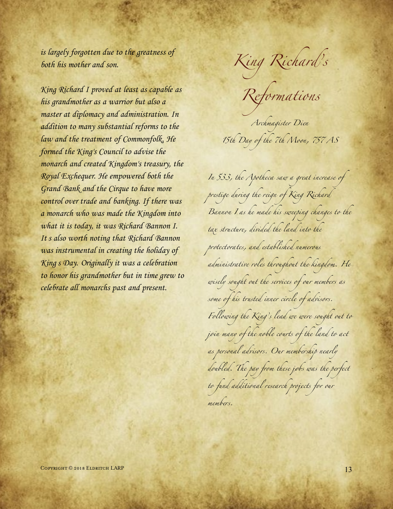is largely forgotten due to the greatness of both his mother and son.

King Richard I proved at least as capable as his grandmother as a warrior but also a master at diplomacy and administration. In addition to many substantial reforms to the law and the treatment of Commonfolk, He formed the King's Council to advise the monarch and created Kingdom's treasury, the Royal Exchequer. He empowered both the Grand Bank and the Cirque to have more control over trade and banking. If there was a monarch who was made the Kingdom into what it is today, it was Richard Bannon I. It s also worth noting that Richard Bannon was instrumental in creating the holiday of King's Day. Originally it was a celebration to honor his grandmother but in time grew to celebrate all monarchs past and present.

*King Richard' s* 

*Reformations*

*Archmagister Dien 15th Day of the 7th Moon, 757 AS*

*In 533, the Apotheca saw a great increase of prestige during the reign of King Richard Bannon I as he made his sweeping changes to the tax structure, divided the land into the protectorates, and established numerous administrative roles throughout the kingdom. He wisely sought out the services of our members as some of his trusted inner circle of advisors. Following the King's lead we were sought out to join many of the noble courts of the land to act as personal advisors. Our membership nearly doubled. The pay from these jobs was the perfect to fund additional research projects for our members.*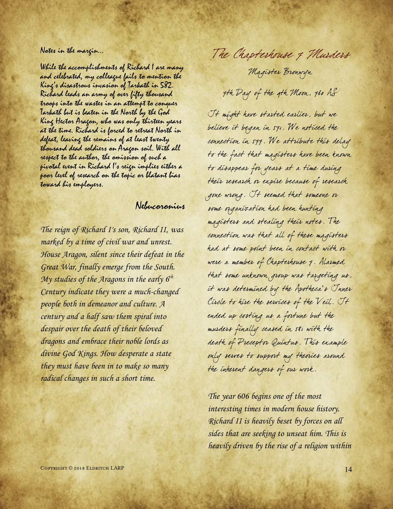## Notes in the margin…

While the accomplishments of Richard I are many and celebrated, my colleague fails to mention the King's disastrous invasion of Tarkath in 582. Richard leads an army of over fifty thousand troops into the wastes in an attempt to conquer Tarkath but is beaten in the North by the God King Hector Aragon, who was only thirteen years at the time. Richard is forced to retreat North in defeat, leaving the remains of at least twenty thousand dead soldiers on Aragon soil. With all respect to the author, the omission of such a pivotal event in Richard I's reign implies either a poor level of research on the topic or blatant bias toward his employers.

# Nebucoronius

The reign of Richard I's son, Richard II, was marked by a time of civil war and unrest. House Aragon, silent since their defeat in the Great War, finally emerge from the South. My studies of the Aragons in the early  $6^{th}$ Century indicate they were a much-changed people both in demeanor and culture. A century and a half saw them spiral into despair over the death of their beloved dragons and embrace their noble lords as divine God Kings. How desperate a state they must have been in to make so many radical changes in such a short time.

The Chapterhouse 7 Murders

Magister Bronwyn

7th Day of the 9th Moon, 760 AS

It might have started earlier, but we believe it began in 571. We noticed the connection in 577. We attribute this delay to the fact that magisters have been known to disappear for years at a time during their research or expire because of research gone wrong. It seemed that someone or some organization had been hunting magisters and stealing their notes. The connection was that all of these magisters had at some point been in contact with or were a member of Chapterhouse 7. Alarmed that some unknown group was targeting us, it was determined by the Apotheca's Inner Circle to hire the services of the Veil. It ended up costing us a fortune but the murders finally ceased in 581 with the death of Preceptor Quintus. This example only serves to support my theories around the inherent dangers of our work.

The year 606 begins one of the most interesting times in modern house history. Richard II is heavily beset by forces on all sides that are seeking to unseat him. This is heavily driven by the rise of a religion within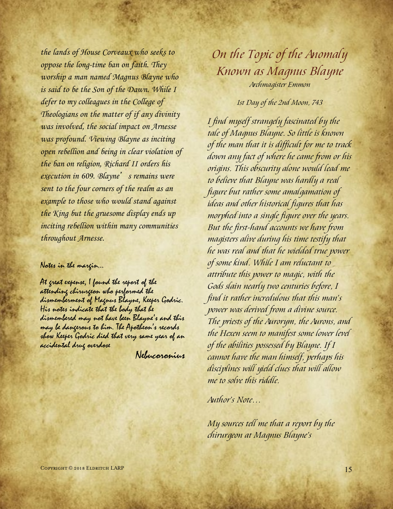the lands of House Corveaux who seeks to oppose the long-time ban on faith. They worship a man named Magnus Blayne who is said to be the Son of the Dawn. While I defer to my colleagues in the College of Theologians on the matter of if any divinity was involved, the social impact on Arnesse was profound. Viewing Blayne as inciting open rebellion and being in clear violation of the ban on religion, Richard II orders his execution in 609. Blayne's remains were sent to the four corners of the realm as an example to those who would stand against the King but the gruesome display ends up inciting rebellion within many communities throughout Arnesse.

# Notes in the margin…

At great expense, I found the report of the attending chirurgeon who performed the dismemberment of Magnus Blayne, Keeper Godric. His notes indicate that the body that he dismembered may not have been Blayne's and this may be dangerous to him. The Apotheon's records show Keeper Godric died that very same year of an accidental drug overdose

Nebucoronius

# *On the Topic of the Anomaly Known as Magnus Blayne Archmagister Emmon*

# *1st Day of the 2nd Moon, 743*

*I find myself strangely fascinated by the tale of Magnus Blayne. So little is known of the man that it is difficult for me to track down any fact of where he came from or his origins. This obscurity alone would lead me to believe that Blayne was hardly a real figure but rather some amalgamation of ideas and other historical figures that has morphed into a single figure over the years. But the first-hand accounts we have from magisters alive during his time testify that he was real and that he wielded true power of some kind. While I am reluctant to attribute this power to magic, with the Gods slain nearly two centuries before, I find it rather incredulous that this man's power was derived from a divine source. The priests of the Aurorym, the Aurons, and the Hexen seem to manifest some lower level of the abilities possessed by Blayne. If I cannot have the man himself, perhaps his disciplines will yield clues that will allow me to solve this riddle.*

*Author's Note…*

*My sources tell me that a report by the chirurgeon at Magnus Blayne's*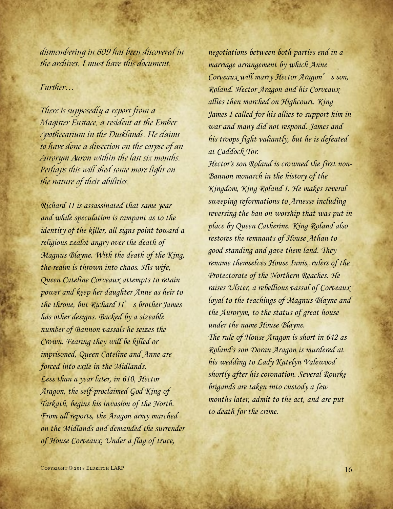*dismembering in 609 has been discovered in the archives. I must have this document.*

# *Further…*

*There is supposedly a report from a Magister Eustace, a resident at the Ember Apothecarium in the Dusklands. He claims to have done a dissection on the corpse of an Aurorym Auron within the last six months. Perhaps this will shed some more light on the nature of their abilities.*

Richard II is assassinated that same year and while speculation is rampant as to the identity of the killer, all signs point toward a religious zealot angry over the death of Magnus Blayne. With the death of the King, the realm is thrown into chaos. His wife, Queen Cateline Corveaux attempts to retain power and keep her daughter Anne as heir to the throne, but Richard  $II'$  s brother James has other designs. Backed by a sizeable number of Bannon vassals he seizes the Crown. Fearing they will be killed or imprisoned, Queen Cateline and Anne are forced into exile in the Midlands. Less than a year later, in 610, Hector Aragon, the self-proclaimed God King of Tarkath, begins his invasion of the North. From all reports, the Aragon army marched on the Midlands and demanded the surrender of House Corveaux. Under a flag of truce,

negotiations between both parties end in a marriage arrangement by which Anne Corveaux will marry Hector Aragon's son, Roland. Hector Aragon and his Corveaux allies then marched on Highcourt. King James I called for his allies to support him in war and many did not respond. James and his troops fight valiantly, but he is defeated at Caddock Tor.

Hector's son Roland is crowned the first non-Bannon monarch in the history of the Kingdom, King Roland I. He makes several sweeping reformations to Arnesse including reversing the ban on worship that was put in place by Queen Catherine. King Roland also restores the remnants of House Athan to good standing and gave them land. They rename themselves House Innis, rulers of the Protectorate of the Northern Reaches. He raises Ulster, a rebellious vassal of Corveaux loyal to the teachings of Magnus Blayne and the Aurorym, to the status of great house under the name House Blayne. The rule of House Aragon is short in 642 as Roland's son Doran Aragon is murdered at his wedding to Lady Katelyn Valewood shortly after his coronation. Several Rourke brigands are taken into custody a few months later, admit to the act, and are put to death for the crime.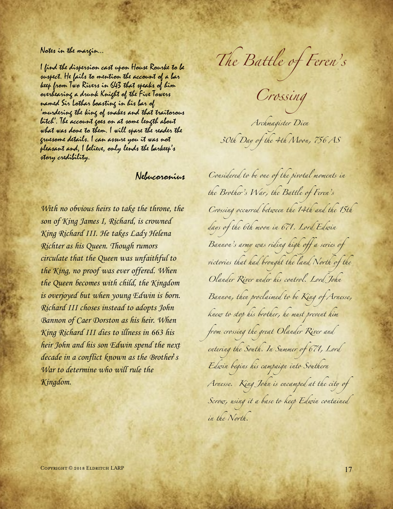## Notes in the margin…

I find the dispersion cast upon House Rourke to be suspect. He fails to mention the account of a bar keep from Two Rivers in 643 that speaks of him overhearing a drunk Knight of the Five Towers named Sir Lothar boasting in his bar of 'murdering the king of snakes and that traitorous bitch'. The account goes on at some length about what was done to them. I will spare the reader the gruesome details. I can assure you it was not pleasant and, I believe, only lends the barkeep's story credibility.

# Nebucoronius

With no obvious heirs to take the throne, the son of King James I, Richard, is crowned King Richard III. He takes Lady Helena Richter as his Queen. Though rumors circulate that the Queen was unfaithful to the King, no proof was ever offered. When the Queen becomes with child, the Kingdom is overjoyed but when young Edwin is born. Richard III choses instead to adopts John Bannon of Caer Dorston as his heir. When King Richard III dies to illness in 663 his heir John and his son Edwin spend the next decade in a conflict known as the Brother's War to determine who will rule the Kingdom.

*The Battle of Feren's* 

*Crossing* 

*Archmagister Dien 30th Day of the 4th Moon, 756 AS*

*Considered to be one of the pivotal moments in the Brother's War, the Battle of Feren's Crossing occurred between the 14th and the 15th days of the 6th moon in 671. Lord Edwin Bannon's army was riding high off a series of victories that had brought the land North of the Olander River under his control. Lord John Bannon, then proclaimed to be King of Arnesse, knew to stop his brother, he must prevent him from crossing the great Olander River and entering the South. In Summer of 671, Lord Edwin begins his campaign into Southern Arnesse. King John is encamped at the city of Scrow, using it a base to keep Edwin contained in the North.*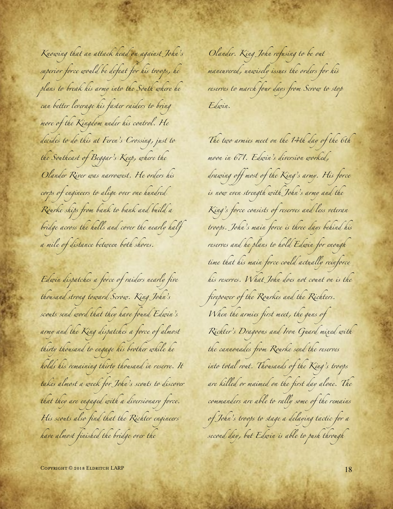*Knowing that an attack head on against John's superior force would be defeat for his troops, he plans to break his army into the South where he can better leverage his faster raiders to bring more of the Kingdom under his control. He decides to do this at Feren's Crossing, just to the Southeast of Beggar's Keep, where the Olander River was narrowest. He orders his corps of engineers to align over one hundred Rourke ships from bank to bank and build a bridge across the hulls and cover the nearly half a mile of distance between both shores.* 

*Edwin dispatches a force of raiders nearly five thousand strong toward Scrow. King John's scouts send word that they have found Edwin's army and the King dispatches a force of almost thirty thousand to engage his brother while he holds his remaining thirty thousand in reserve. It takes almost a week for John's scouts to discover that they are engaged with a diversionary force. His scouts also find that the Richter engineers have almost finished the bridge over the* 

*Olander. King John refusing to be out maneuvered, unwisely issues the orders for his reserves to march four days from Scrow to stop Edwin.*

*The two armies meet on the 14th day of the 6th moon in 671. Edwin's diversion worked, drawing off most of the King's army. His force is now even strength with John's army and the King's force consists of reserves and less veteran troops. John's main force is three days behind his reserves and he plans to hold Edwin for enough time that his main force could actually reinforce his reserves. What John does not count on is the firepower of the Rourkes and the Richters. When the armies first meet, the guns of Richter's Dragoons and Iron Guard mixed with the cannonades from Rourke send the reserves into total rout. Thousands of the King's troops are killed or maimed on the first day alone. The commanders are able to rally some of the remains of John's troops to stage a delaying tactic for a second day, but Edwin is able to push through* 

 $\sim$  18  $\sim$  18  $\sim$  18  $\sim$  18  $\sim$  18  $\sim$  18  $\sim$  18  $\sim$  18  $\sim$  18  $\sim$  18  $\sim$  18  $\sim$  18  $\sim$  18  $\sim$  18  $\sim$  18  $\sim$  18  $\sim$  18  $\sim$  18  $\sim$  18  $\sim$  18  $\sim$  18  $\sim$  18  $\sim$  18  $\sim$  18  $\sim$  18  $\sim$  18  $\sim$  18  $\sim$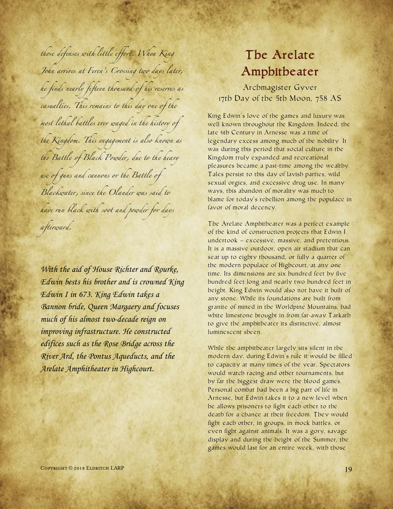*those defenses with little effort. When King John arrives at Feren's Crossing two days later, he finds nearly fifteen thousand of his reserves as casualties. This remains to this day one of the most lethal battles ever waged in the history of the Kingdom. This engagement is also known as the Battle of Black Powder, due to the heavy use of guns and cannons or the Battle of Blackwater, since the Olander was said to have run black with soot and powder for days afterward.*

With the aid of House Richter and Rourke, Edwin bests his brother and is crowned King Edwin I in 673. King Edwin takes a Bannon bride, Queen Margaery and focuses much of his almost two-decade reign on improving infrastructure. He constructed edifices such as the Rose Bridge across the River Ard, the Pontus Aqueducts, and the Arelate Amphitheater in Highcourt.

# The Arelate Amphitheater

Archmagister Gyver 17th Day of the 5th Moon, 758 AS

King Edwin's love of the games and luxury was well known throughout the Kingdom. Indeed, the late 6th Century in Arnesse was a time of legendary excess among much of the nobility. It was during this period that social culture in the Kingdom truly expanded and recreational pleasures became a past-time among the wealthy. Tales persist to this day of lavish parties, wild sexual orgies, and excessive drug use. In many ways, this abandon of morality was much to blame for today's rebellion among the populace in favor of moral decency.

The Arelate Amphitheater was a perfect example of the kind of construction projects that Edwin I undertook – excessive, massive, and pretentious. It is a massive outdoor, open air stadium that can seat up to eighty thousand, or fully a quarter of the modern populace of Highcourt, at any one time. Its dimensions are six hundred feet by five hundred feet long and nearly two hundred feet in height. King Edwin would also not have it built of any stone. While its foundations are built from granite of mined in the Worldpine Mountains, had white limestone brought in from far-away Tarkath to give the amphitheater its distinctive, almost luminescent sheen.

While the amphitheater largely sits silent in the modern day, during Edwin's rule it would be filled to capacity at many times of the year. Spectators would watch racing and other tournaments, but by far the biggest draw were the blood games. Personal combat had been a big part of life in Arnesse, but Edwin takes it to a new level when he allows prisoners to fight each other to the death for a chance at their freedom. They would fight each other, in groups, in mock battles, or even fight against animals. It was a gory, savage display and during the height of the Summer, the games would last for an entire week, with those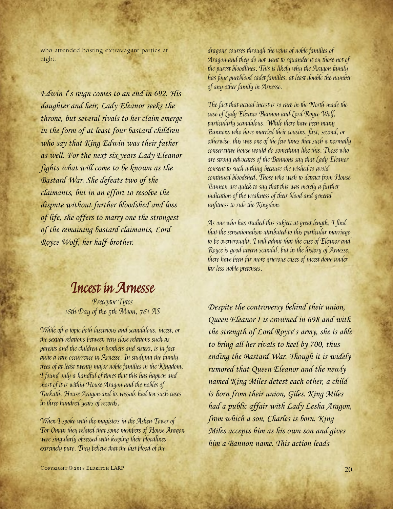who attended hosting extravagant parties at night.

Edwin I's reign comes to an end in 692. His daughter and heir, Lady Eleanor seeks the throne, but several rivals to her claim emerge in the form of at least four bastard children who say that King Edwin was their father as well. For the next six years Lady Eleanor fights what will come to be known as the Bastard War. She defeats two of the claimants, but in an effort to resolve the dispute without further bloodshed and loss of life, she offers to marry one the strongest of the remaining bastard claimants, Lord Royce Wolf, her half-brother.

# Incest in Arnesse

Preceptor Tutos 16th Day of the 5th Moon, 761 AS

While oft a topic both lascivious and scandalous, incest, or the sexual relations between very close relations such as parents and the children or brothers and sisters, is in fact quite a rare occurrence in Arnesse. In studying the family trees of at least twenty major noble families in the Kingdom, I found only a handful of times that this has happen and most of it is within House Aragon and the nobles of Tarkath. House Aragon and its vassals had ten such cases in three hundred years of records.

When I spoke with the magisters in the Ashen Tower of Tor Oman they related that some members of House Aragon were singularly obsessed with keeping their bloodlines extremely pure. They believe that the last blood of the

dragons courses through the veins of noble families of Aragon and they do not want to squander it on those not of the purest bloodlines. This is likely why the Aragon family has four pureblood cadet families, at least double the number of any other family in Arnesse.

The fact that actual incest is so rare in the North made the case of Lady Eleanor Bannon and Lord Royce Wolf, particularly scandalous. While there have been many Bannons who have married their cousins, first, second, or otherwise, this was one of the few times that such a normally conservative house would do something like this. Those who are strong advocates of the Bannons say that Lady Eleanor consent to such a thing because she wished to avoid continued bloodshed. Those who wish to detract from House Bannon are quick to say that this was merely a further indication of the weakness of their blood and general unfitness to rule the Kingdom.

As one who has studied this subject at great length, I find that the sensationalism attributed to this particular marriage to be overwrought. I will admit that the case of Eleanor and Royce is good tavern scandal, but in the history of Arnesse, there have been far more grievous cases of incest done under far less noble pretenses.

Despite the controversy behind their union, Queen Eleanor I is crowned in 698 and with the strength of Lord Royce's army, she is able to bring all her rivals to heel by 700, thus ending the Bastard War. Though it is widely rumored that Queen Eleanor and the newly named King Miles detest each other, a child is born from their union, Giles. King Miles had a public affair with Lady Lesha Aragon, from which a son, Charles is born. King Miles accepts him as his own son and gives him a Bannon name. This action leads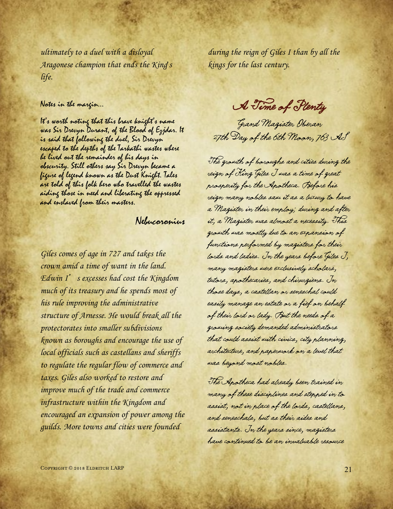ultimately to a duel with a disloyal Aragonese champion that ends the King's life.

## Notes in the margin…

It's worth noting that this brave knight's name was Sir Drevyn Durant, of the Blood of Ezjdar. It is said that following the duel, Sir Drevyn escaped to the depths of the Tarkathi wastes where he lived out the remainder of his days in obscurity. Still others say Sir Drevyn became a figure of legend known as the Dust Knight. Tales are told of this folk hero who travelled the wastes aiding those in need and liberating the oppressed and enslaved from their masters.

# Nebucoronius

Giles comes of age in 727 and takes the crown amid a time of want in the land. Edwin I's excesses had cost the Kingdom much of its treasury and he spends most of his rule improving the administrative structure of Arnesse. He would break all the protectorates into smaller subdivisions known as boroughs and encourage the use of local officials such as castellans and sheriffs to regulate the regular flow of commerce and taxes. Giles also worked to restore and improve much of the trade and commerce infrastructure within the Kingdom and encouraged an expansion of power among the guilds. More towns and cities were founded

during the reign of Giles I than by all the kings for the last century.

A Time of Plenty

Grand Magister Oberan 27th Day of the 6th Moon, 763 AS

The growth of boroughs and cities during the reign of King Giles I was a time of great prosperity for the Apotheca. Before his reign many nobles saw it as a luxury to have a Magister in their employ; during and after it, a Magister was almost a necessity. This growth was mostly due to an expansion of functions performed by magisters for their lords and ladies. In the years before Giles I, many magisters were exclusively scholars, tutors, apothecaries, and chirurgiens. In those days, a castellan or seneschal could easily manage an estate or a fief on behalf of their lord or lady. But the needs of a growing society demanded administrators that could assist with civics, city planning, architecture, and paperwork on a level that was beyond most nobles.

The Apotheca had already been trained in many of these disciplines and stepped in to assist, not in place of the lords, castellans, and seneschals, but as their aides and assistants. In the years since, magisters have continued to be an invaluable resource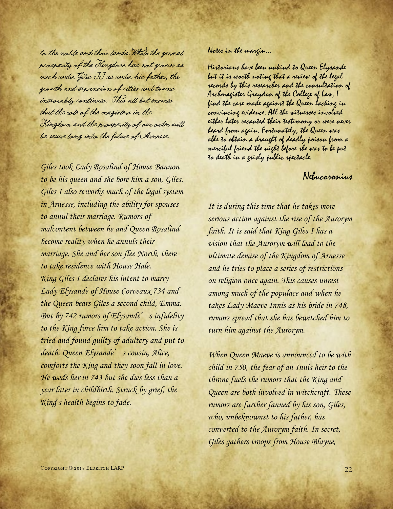to the noble and their lands. While the general prosperity of the Kingdom has not grown as much under Giles II as under his father, the growth and expansion of cities and towns inexorably continues. This all but ensures that the role of the magisters in the Kingdom and the prosperity of our order will be secure long into the future of Arnesse.

Giles took Lady Rosalind of House Bannon to be his queen and she bore him a son, Giles. Giles I also reworks much of the legal system in Arnesse, including the ability for spouses to annul their marriage. Rumors of malcontent between he and Queen Rosalind become reality when he annuls their marriage. She and her son flee North, there to take residence with House Hale. King Giles I declares his intent to marry Lady Elysande of House Corveaux 734 and the Queen bears Giles a second child, Emma. But by 742 rumors of Elysande's infidelity to the King force him to take action. She is tried and found guilty of adultery and put to death. Queen Elysande's cousin, Alice, comforts the King and they soon fall in love. He weds her in 743 but she dies less than a year later in childbirth. Struck by grief, the King's health begins to fade.

Notes in the margin…

Historians have been unkind to Queen Elysande but it is worth noting that a review of the legal records by this researcher and the consultation of Archmagister Graydon of the College of Law, I find the case made against the Queen lacking in convincing evidence. All the witnesses involved either later recanted their testimony or were never heard from again. Fortunately, the Queen was able to obtain a draught of deadly poison from a merciful friend the night before she was to be put to death in a grisly public spectacle.

# Nebucoronius

It is during this time that he takes more serious action against the rise of the Aurorym faith. It is said that King Giles I has a vision that the Aurorym will lead to the ultimate demise of the Kingdom of Arnesse and he tries to place a series of restrictions on religion once again. This causes unrest among much of the populace and when he takes Lady Maeve Innis as his bride in 748, rumors spread that she has bewitched him to turn him against the Aurorym.

When Queen Maeve is announced to be with child in 750, the fear of an Innis heir to the throne fuels the rumors that the King and Queen are both involved in witchcraft. These rumors are further fanned by his son, Giles, who, unbeknownst to his father, has converted to the Aurorym faith. In secret, Giles gathers troops from House Blayne,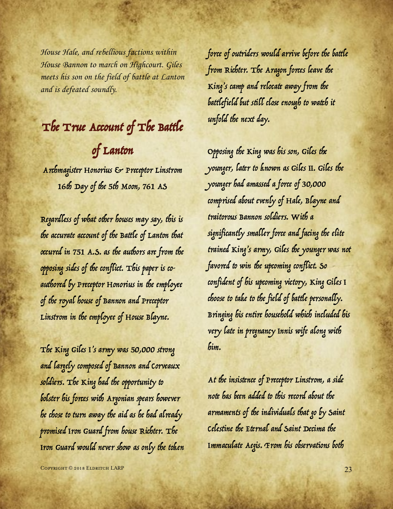House Hale, and rebellious factions within House Bannon to march on Highcourt. Giles meets his son on the field of battle at Lanton and is defeated soundly.

# The True Account of The Battle of Lanton

Archmagister Honorius & Preceptor Linstrom 16th Day of the 5th Moon, 761 AS

Regardless of what other houses may say, this is the accurate account of the Battle of Lanton that occured in 751 A.S. as the authors are from the opposing sides of the conflict. This paper is coauthored by Preceptor Honorius in the employee of the royal house of Bannon and Preceptor Linstrom in the employee of House Blayne.

The King Giles I's army was 50,000 strong and largely composed of Bannon and Corveaux soldiers. The King had the opportunity to bolster his forces with Argonian spears however he chose to turn away the aid as he had already promised Iron Guard from house Richter. The Iron Guard would never show as only the token force of outriders would arrive before the battle from Richter. The Aragon forces leave the King's camp and relocate away from the battlefield but still close enough to watch it unfold the next day.

Opposing the King was his son, Giles the younger, later to known as Giles II. Giles the younger had amassed a force of 30,000 comprised about evenly of Hale, Blayne and traitorous Bannon soldiers. With a significantly smaller force and facing the elite trained King's army, Giles the younger was not favored to win the upcoming conflict. So confident of his upcoming victory, King Giles I choose to take to the field of battle personally. Bringing his entire household which included his very late in pregnancy Innis wife along with him.

At the insistence of Preceptor Linstrom, a side note has been added to this record about the armaments of the individuals that go by Saint Celestine the Eternal and Saint Decima the Immaculate Aegis. From his observations both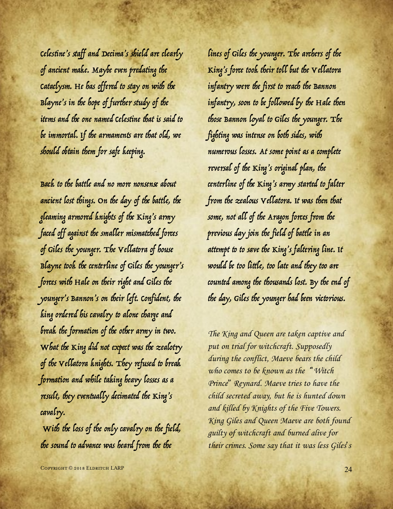Celestine's staff and Decima's shield are clearly of ancient make. Maybe even predating the Cataclysm. He has offered to stay on with the Blayne's in the hope of further study of the items and the one named Celestine that is said to be immortal. If the armaments are that old, we should obtain them for safe keeping.

Back to the battle and no more nonsense about ancient lost things. On the day of the battle, the gleaming armored knights of the King's army faced off against the smaller mismatched forces of Giles the younger. The Vellatora of house Blayne took the centerline of Giles the younger's forces with Hale on their right and Giles the younger's Bannon's on their left. Confident, the king ordered his cavalry to alone charge and break the formation of the other army in two. What the King did not expect was the zealotry of the Vellatora knights. They refused to break formation and while taking heavy losses as a result, they eventually decimated the King's cavalry.

With the loss of the only cavalry on the field, the sound to advance was heard from the the

lines of Giles the younger. The archers of the King's force took their toll but the Vellatora infantry were the first to reach the Bannon infantry, soon to be followed by the Hale then those Bannon loyal to Giles the younger. The fighting was intense on both sides, with numerous losses. At some point as a complete reversal of the King's original plan, the centerline of the King's army started to falter from the zealous Vellatora. It was then that some, not all of the Aragon forces from the previous day join the field of battle in an attempt to to save the King's faltering line. It would be too little, too late and they too are counted among the thousands lost. By the end of the day, Giles the younger had been victorious.

The King and Queen are taken captive and put on trial for witchcraft. Supposedly during the conflict, Maeve bears the child who comes to be known as the "Witch Prince" Reynard. Maeve tries to have the child secreted away, but he is hunted down and killed by Knights of the Five Towers. King Giles and Queen Maeve are both found guilty of witchcraft and burned alive for their crimes. Some say that it was less Giles's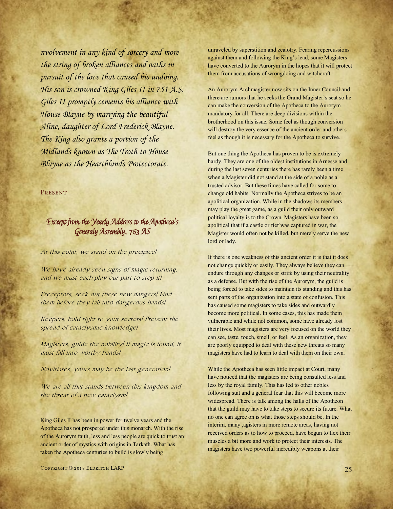nvolvement in any kind of sorcery and more the string of broken alliances and oaths in pursuit of the love that caused his undoing. His son is crowned King Giles II in 751 A.S. Giles II promptly cements his alliance with House Blayne by marrying the beautiful Aline, daughter of Lord Frederick Blayne. The King also grants a portion of the Midlands known as The Troth to House Blayne as the Hearthlands Protectorate.

#### **PRESENT**

# Excerpt from the Yearly Address to the Apotheca's Generaly Assembly, 763 AS

At this point, we stand on the precipice!

We have already seen signs of magic returning, and we must each play our part to stop it!

Preceptors, seek out these new dangers! Find them before they fall into dangerous hands!

Keepers, hold tight to your secrets! Prevent the spread of cataclysmic knowledge!

Magisters, guide the nobility! If magic is found, it must fall into worthy hands!

Novitiates, yours may be the last generation!

We are all that stands between this kingdom and the threat of a new cataclysm!

King Giles II has been in power for twelve years and the Apotheca has not prospered under this monarch. With the rise of the Aurorym faith, less and less people are quick to trust an ancient order of mystics with origins in Tarkath. What has taken the Apotheca centuries to build is slowly being

unraveled by superstition and zealotry. Fearing repercussions against them and following the King's lead, some Magisters have converted to the Aurorym in the hopes that it will protect them from accusations of wrongdoing and witchcraft.

An Aurorym Archmagister now sits on the Inner Council and there are rumors that he seeks the Grand Magister's seat so he can make the conversion of the Apotheca to the Aurorym mandatory for all. There are deep divisions within the brotherhood on this issue. Some feel as though conversion will destroy the very essence of the ancient order and others feel as though it is necessary for the Apotheca to survive.

But one thing the Apotheca has proven to be is extremely hardy. They are one of the oldest institutions in Arnesse and during the last seven centuries there has rarely been a time when a Magister did not stand at the side of a noble as a trusted advisor. But these times have called for some to change old habits. Normally the Apotheca strives to be an apolitical organization. While in the shadows its members may play the great game, as a guild their only outward political loyalty is to the Crown. Magisters have been so apolitical that if a castle or fief was captured in war, the Magister would often not be killed, but merely serve the new lord or lady.

If there is one weakness of this ancient order it is that it does not change quickly or easily. They always believe they can endure through any changes or strife by using their neutrality as a defense. But with the rise of the Aurorym, the guild is being forced to take sides to maintain its standing and this has sent parts of the organization into a state of confusion. This has caused some magisters to take sides and outwardly become more political. In some cases, this has made them vulnerable and while not common, some have already lost their lives. Most magisters are very focused on the world they can see, taste, touch, smell, or feel. As an organization, they are poorly equipped to deal with these new threats so many magisters have had to learn to deal with them on their own.

While the Apotheca has seen little impact at Court, many have noticed that the magisters are being consulted less and less by the royal family. This has led to other nobles following suit and a general fear that this will become more widespread. There is talk among the halls of the Apotheon that the guild may have to take steps to secure its future. What no one can agree on is what those steps should be. In the interim, many ,agisters in more remote areas, having not received orders as to how to proceed, have begun to flex their muscles a bit more and work to protect their interests. The magisters have two powerful incredibly weapons at their

Copyright © 2018 Eldritch LARP 25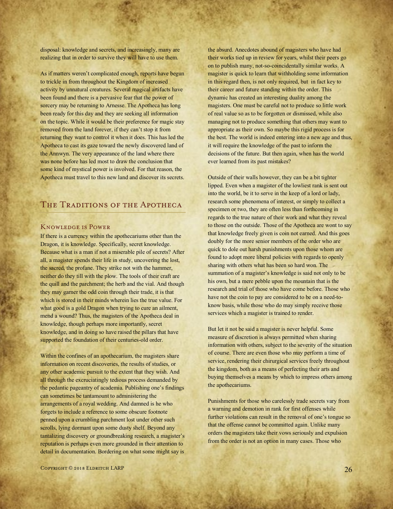disposal: knowledge and secrets, and increasingly, many are realizing that in order to survive they will have to use them.

As if matters weren't complicated enough, reports have begun to trickle in from throughout the Kingdom of increased activity by unnatural creatures. Several magical artifacts have been found and there is a pervasive fear that the power of sorcery may be returning to Arnesse. The Apotheca has long been ready for this day and they are seeking all information on the topic. While it would be their preference for magic stay removed from the land forever, if they can't stop it from returning they want to control it when it does. This has led the Apotheca to cast its gaze toward the newly discovered land of the Annwyn. The very appearance of the land where there was none before has led most to draw the conclusion that some kind of mystical power is involved. For that reason, the Apotheca must travel to this new land and discover its secrets.

# THE TRADITIONS OF THE APOTHECA

### Knowledge is Power

If there is a currency within the apothecariums other than the Dragon, it is knowledge. Specifically, secret knowledge. Because what is a man if not a miserable pile of secrets? After all, a magister spends their life in study, uncovering the lost, the sacred, the profane. They strike not with the hammer, neither do they till with the plow. The tools of their craft are the quill and the parchment; the herb and the vial. And though they may garner the odd coin through their trade, it is that which is stored in their minds wherein lies the true value. For what good is a gold Dragon when trying to cure an ailment, mend a wound? Thus, the magisters of the Apotheca deal in knowledge, though perhaps more importantly, secret knowledge, and in doing so have raised the pillars that have supported the foundation of their centuries-old order.

Within the confines of an apothecarium, the magisters share information on recent discoveries, the results of studies, or any other academic pursuit to the extent that they wish. And all through the excruciatingly tedious process demanded by the pedantic pageantry of academia. Publishing one's findings can sometimes be tantamount to administering the arrangements of a royal wedding. And damned is he who forgets to include a reference to some obscure footnote penned upon a crumbling parchment lost under other such scrolls, lying dormant upon some dusty shelf. Beyond any tantalizing discovery or groundbreaking research, a magister's reputation is perhaps even more grounded in their attention to detail in documentation. Bordering on what some might say is

the absurd. Anecdotes abound of magisters who have had their works tied up in review for years, whilst their peers go on to publish many, not-so-coincidentally similar works. A magister is quick to learn that withholding some information in this regard then, is not only required, but in fact key to their career and future standing within the order. This dynamic has created an interesting duality among the magisters. One must be careful not to produce so little work of real value so as to be forgotten or dismissed, while also managing not to produce something that others may want to appropriate as their own. So maybe this rigid process is for the best. The world is indeed entering into a new age and thus, it will require the knowledge of the past to inform the decisions of the future. But then again, when has the world ever learned from its past mistakes?

Outside of their walls however, they can be a bit tighter lipped. Even when a magister of the lowliest rank is sent out into the world, be it to serve in the keep of a lord or lady, research some phenomena of interest, or simply to collect a specimen or two, they are often less than forthcoming in regards to the true nature of their work and what they reveal to those on the outside. Those of the Apotheca are wont to say that knowledge freely given is coin not earned. And this goes doubly for the more senior members of the order who are quick to dole out harsh punishments upon those whom are found to adopt more liberal policies with regards to openly sharing with others what has been so hard won. The summation of a magister's knowledge is said not only to be his own, but a mere pebble upon the mountain that is the research and trial of those who have come before. Those who have not the coin to pay are considered to be on a need-toknow basis, while those who do may simply receive those services which a magister is trained to render.

But let it not be said a magister is never helpful. Some measure of discretion is always permitted when sharing information with others, subject to the severity of the situation of course. There are even those who may perform a time of service, rendering their chirurgical services freely throughout the kingdom, both as a means of perfecting their arts and buying themselves a means by which to impress others among the apothecariums.

Punishments for those who carelessly trade secrets vary from a warning and demotion in rank for first offenses while further violations can result in the removal of one's tongue so that the offense cannot be committed again. Unlike many orders the magisters take their vows seriously and expulsion from the order is not an option in many cases. Those who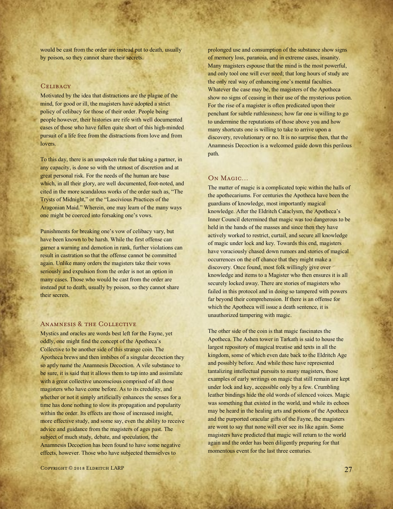would be cast from the order are instead put to death, usually by poison, so they cannot share their secrets.

#### **CELIBACY**

Motivated by the idea that distractions are the plague of the mind, for good or ill, the magisters have adopted a strict policy of celibacy for those of their order. People being people however, their histories are rife with well documented cases of those who have fallen quite short of this high-minded pursuit of a life free from the distractions from love and from lovers.

To this day, there is an unspoken rule that taking a partner, in any capacity, is done so with the utmost of discretion and at great personal risk. For the needs of the human are base which, in all their glory, are well documented, foot-noted, and cited in the more scandalous works of the order such as, "The Trysts of Midnight," or the "Lascivious Practices of the Aragonian Maid." Wherein, one may learn of the many ways one might be coerced into forsaking one's vows.

Punishments for breaking one's vow of celibacy vary, but have been known to be harsh. While the first offense can garner a warning and demotion in rank, further violations can result in castration so that the offense cannot be committed again. Unlike many orders the magisters take their vows seriously and expulsion from the order is not an option in many cases. Those who would be cast from the order are instead put to death, usually by poison, so they cannot share their secrets.

#### ANAMNESIS & THE COLLECTIVE

Mystics and oracles are words best left for the Fayne, yet oddly, one might find the concept of the Apotheca's Collective to be another side of this strange coin. The Apotheca brews and then imbibes of a singular decoction they so aptly name the Anamnesis Decoction. A vile substance to be sure, it is said that it allows them to tap into and assimilate with a great collective unconscious comprised of all those magisters who have come before. As to its credulity, and whether or not it simply artificially enhances the senses for a time has done nothing to slow its propagation and popularity within the order. Its effects are those of increased insight, more effective study, and some say, even the ability to receive advice and guidance from the magisters of ages past. The subject of much study, debate, and speculation, the Anamnesis Decoction has been found to have some negative effects, however. Those who have subjected themselves to

prolonged use and consumption of the substance show signs of memory loss, paranoia, and in extreme cases, insanity. Many magisters espouse that the mind is the most powerful, and only tool one will ever need; that long hours of study are the only real way of enhancing one's mental faculties. Whatever the case may be, the magisters of the Apotheca show no signs of ceasing in their use of the mysterious potion. For the rise of a magister is often predicated upon their penchant for subtle ruthlessness; how far one is willing to go to undermine the reputations of those above you and how many shortcuts one is willing to take to arrive upon a discovery, revolutionary or no. It is no surprise then, that the Anamnesis Decoction is a welcomed guide down this perilous path.

#### On Magic…

The matter of magic is a complicated topic within the halls of the apothecariums. For centuries the Apotheca have been the guardians of knowledge, most importantly magical knowledge. After the Eldritch Cataclysm, the Apotheca's Inner Council determined that magic was too dangerous to be held in the hands of the masses and since then they have actively worked to restrict, curtail, and secure all knowledge of magic under lock and key. Towards this end, magisters have voraciously chased down rumors and stories of magical occurrences on the off chance that they might make a discovery. Once found, most folk willingly give over knowledge and items to a Magister who then ensures it is all securely locked away. There are stories of magisters who failed in this protocol and in doing so tampered with powers far beyond their comprehension. If there is an offense for which the Apotheca will issue a death sentence, it is unauthorized tampering with magic.

The other side of the coin is that magic fascinates the Apotheca. The Ashen tower in Tarkath is said to house the largest repository of magical treatise and texts in all the kingdom, some of which even date back to the Eldritch Age and possibly before. And while these have represented tantalizing intellectual pursuits to many magisters, those examples of early writings on magic that still remain are kept under lock and key, accessible only by a few. Crumbling leather bindings hide the old words of silenced voices. Magic was something that existed in the world, and while its echoes may be heard in the healing arts and potions of the Apotheca and the purported oracular gifts of the Fayne, the magisters are wont to say that none will ever see its like again. Some magisters have predicted that magic will return to the world again and the order has been diligently preparing for that momentous event for the last three centuries.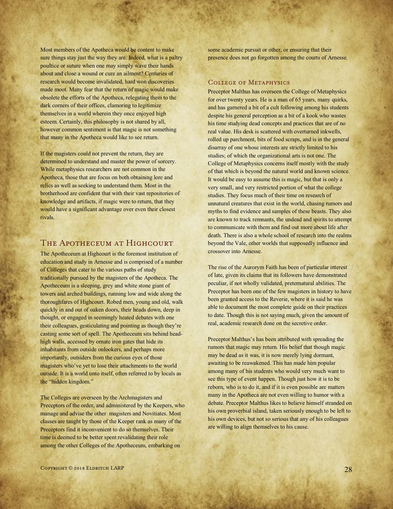Most members of the Apotheca would be content to make sure things stay just the way they are. Indeed, what is a paltry poultice or suture when one may simply wave their hands about and close a wound or cure an ailment? Centuries of research would become invalidated, hard won discoveries made moot. Many fear that the return of magic would make obsolete the efforts of the Apotheca, relegating them to the dark corners of their offices, clamoring to legitimize themselves in a world wherein they once enjoyed high esteem. Certainly, this philosophy is not shared by all, however common sentiment is that magic is not something that many in the Apotheca would like to see return.

If the magisters could not prevent the return, they are determined to understand and master the power of sorcery. While metaphysics researchers are not common in the Apotheca, those that are focus on both obtaining lore and relics as well as seeking to understand them. Most in the brotherhood are confident that with their vast repositories of knowledge and artifacts, if magic were to return, that they would have a significant advantage over even their closest rivals.

# THE APOTHECEUM AT HIGHCOURT

The Apotheceum at Highcourt is the foremost institution of education and study in Arnesse and is comprised of a number of Colleges that cater to the various paths of study traditionally pursued by the magisters of the Apotheca. The Apotheceum is a sleeping, grey and white stone giant of towers and arched buildings, running low and wide along the thoroughfares of Highcourt. Robed men, young and old, walk quickly in and out of oaken doors, their heads down, deep in thought, or engaged in seemingly heated debates with one their colleagues, gesticulating and pointing as though they're casting some sort of spell. The Apotheceum sits behind headhigh walls, accessed by ornate iron gates that hide its inhabitants from outside onlookers, and perhaps more importantly, outsiders from the curious eyes of those magisters who've yet to lose their attachments to the world outside. It is a world unto itself, often referred to by locals as the "hidden kingdom."

The Colleges are overseen by the Archmagisters and Preceptors of the order, and administered by the Keepers, who manage and advise the other magisters and Novitiates. Most classes are taught by those of the Keeper rank as many of the Preceptors find it inconvenient to do so themselves. Their time is deemed to be better spent revalidating their role among the other Colleges of the Apotheceum, embarking on

some academic pursuit or other, or ensuring that their presence does not go forgotten among the courts of Arnesse.

### College of Metaphysics

Preceptor Malthus has overseen the College of Metaphysics for over twenty years. He is a man of 65 years, many quirks, and has garnered a bit of a cult following among his students despite his general perception as a bit of a kook who wastes his time studying dead concepts and practices that are of no real value. His desk is scattered with overturned inkwells, rolled up parchment, bits of food scraps, and is in the general disarray of one whose interests are strictly limited to his studies; of which the organizational arts is not one. The College of Metaphysics concerns itself mostly with the study of that which is beyond the natural world and known science. It would be easy to assume this is magic, but that is only a very small, and very restricted portion of what the college studies. They focus much of their time on research of unnatural creatures that exist in the world, chasing rumors and myths to find evidence and samples of these beasts. They also are known to track remnants, the undead and spirits to attempt to communicate with them and find out more about life after death. There is also a whole school of research into the realms beyond the Vale, other worlds that supposedly influence and crossover into Arnesse.

The rise of the Aurorym Faith has been of particular interest of late, given its claims that its followers have demonstrated peculiar, if not wholly validated, preternatural abilities. The Preceptor has been one of the few magisters in history to have been granted access to the Reverie, where it is said he was able to document the most complete guide on their practices to date. Though this is not saying much, given the amount of real, academic research done on the secretive order.

Preceptor Malthus's has been attributed with spreading the rumors that magic may return. His belief that though magic may be dead as it was, it is now merely lying dormant, awaiting to be reawakened. This has made him popular among many of his students who would very much want to see this type of event happen. Though just how it is to be reborn, who is to do it, and if it is even possible are matters many in the Apotheca are not even willing to humor with a debate. Preceptor Malthus likes to believe himself stranded on his own proverbial island, taken seriously enough to be left to his own devices, but not so serious that any of his colleagues are willing to align themselves to his cause.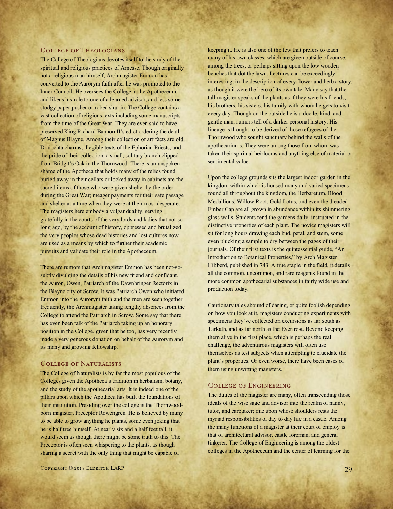#### College of Theologians

The College of Theologians devotes itself to the study of the spiritual and religious practices of Arnesse. Though originally not a religious man himself, Archmagister Emmon has converted to the Aurorym faith after he was promoted to the Inner Council. He oversees the College at the Apotheceum and likens his role to one of a learned advisor, and less some stodgy paper pusher or robed shut in. The College contains a vast collection of religious texts including some manuscripts from the time of the Great War. They are even said to have preserved King Richard Bannon II's edict ordering the death of Magnus Blayne. Among their collection of artifacts are old Draiochta charms, illegible texts of the Ephorian Priests, and the pride of their collection, a small, solitary branch clipped from Bridgit's Oak in the Thornwood. There is an unspoken shame of the Apotheca that holds many of the relics found buried away in their cellars or locked away in cabinets are the sacred items of those who were given shelter by the order during the Great War; meager payments for their safe passage and shelter at a time when they were at their most desperate. The magisters here embody a vulgar duality; serving gratefully in the courts of the very lords and ladies that not so long ago, by the account of history, oppressed and brutalized the very peoples whose dead histories and lost cultures now are used as a means by which to further their academic pursuits and validate their role in the Apotheceum.

There are rumors that Archmagister Emmon has been not-sosubtly divulging the details of his new friend and confidant, the Auron, Owen, Patriarch of the Dawnbringer Rectorix in the Blayne city of Scrow. It was Patriarch Owen who initiated Emmon into the Aurorym faith and the men are seen together frequently, the Archmagister taking lengthy absences from the College to attend the Patriarch in Scrow. Some say that there has even been talk of the Patriarch taking up an honorary position in the College, given that he too, has very recently made a very generous donation on behalf of the Aurorym and its many and growing fellowship.

#### College of Naturalists

The College of Naturalists is by far the most populous of the Colleges given the Apotheca's tradition in herbalism, botany, and the study of the apothecarial arts. It is indeed one of the pillars upon which the Apotheca has built the foundations of their institution. Presiding over the college is the Thornwoodborn magister, Preceptor Rowengren. He is believed by many to be able to grow anything he plants, some even joking that he is half tree himself. At nearly six and a half feet tall, it would seem as though there might be some truth to this. The Preceptor is often seen whispering to the plants, as though sharing a secret with the only thing that might be capable of

keeping it. He is also one of the few that prefers to teach many of his own classes, which are given outside of course, among the trees, or perhaps sitting upon the low wooden benches that dot the lawn. Lectures can be exceedingly interesting, in the description of every flower and herb a story, as though it were the hero of its own tale. Many say that the tall magister speaks of the plants as if they were his friends, his brothers, his sisters; his family with whom he gets to visit every day. Though on the outside he is a docile, kind, and gentle man, rumors tell of a darker personal history. His lineage is thought to be derived of those refugees of the Thornwood who sought sanctuary behind the walls of the apothecariums. They were among those from whom was taken their spiritual heirlooms and anything else of material or sentimental value.

Upon the college grounds sits the largest indoor garden in the kingdom within which is housed many and varied specimens found all throughout the kingdom, the Herbaretum. Blood Medallions, Willow Root, Gold Lotus, and even the dreaded Ember Cap are all grown in abundance within its shimmering glass walls. Students tend the gardens daily, instructed in the distinctive properties of each plant. The novice magisters will sit for long hours drawing each bud, petal, and stem, some even plucking a sample to dry between the pages of their journals. Of their first texts is the quintessential guide, "An Introduction to Botanical Properties," by Arch Magister Hibberd, published in 743. A true staple in the field, it details all the common, uncommon, and rare reagents found in the more common apothecarial substances in fairly wide use and production today.

Cautionary tales abound of daring, or quite foolish depending on how you look at it, magisters conducting experiments with specimens they've collected on excursions as far south as Tarkath, and as far north as the Everfrost. Beyond keeping them alive in the first place, which is perhaps the real challenge, the adventurous magisters will often use themselves as test subjects when attempting to elucidate the plant's properties. Or even worse, there have been cases of them using unwitting magisters.

## College of Engineering

The duties of the magister are many, often transcending those ideals of the wise sage and advisor into the realm of nanny, tutor, and caretaker; one upon whose shoulders rests the myriad responsibilities of day to day life in a castle. Among the many functions of a magister at their court of employ is that of architectural advisor, castle foreman, and general tinkerer. The College of Engineering is among the oldest colleges in the Apotheceum and the center of learning for the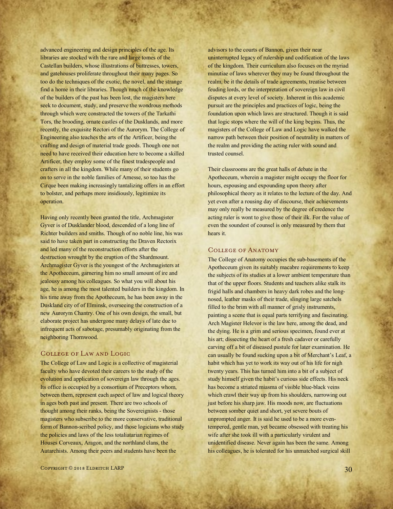advanced engineering and design principles of the age. Its libraries are stocked with the rare and large tomes of the Castellan builders, whose illustrations of buttresses, towers, and gatehouses proliferate throughout their many pages. So too do the techniques of the exotic, the novel, and the strange find a home in their libraries. Though much of the knowledge of the builders of the past has been lost, the magisters here seek to document, study, and preserve the wondrous methods through which were constructed the towers of the Tarkathi Tors, the brooding, ornate castles of the Dusklands, and more recently, the exquisite Rectori of the Aurorym. The College of Engineering also teaches the arts of the Artificer, being the crafting and design of material trade goods. Though one not need to have received their education here to become a skilled Artificer, they employ some of the finest tradespeople and crafters in all the kingdom. While many of their students go on to serve in the noble families of Arnesse, so too has the Cirque been making increasingly tantalizing offers in an effort to bolster, and perhaps more insidiously, legitimize its operation.

Having only recently been granted the title, Archmagister Gyver is of Dusklander blood, descended of a long line of Richter builders and smiths. Though of no noble line, his was said to have taken part in constructing the Draven Rectorix and led many of the reconstruction efforts after the destruction wrought by the eruption of the Shardmount. Archmagister Gyver is the youngest of the Archmagisters at the Apotheceum, garnering him no small amount of ire and jealousy among his colleagues. So what you will about his age, he is among the most talented builders in the kingdom. In his time away from the Apotheceum, he has been away in the Duskland city of of Elminsk, overseeing the construction of a new Aurorym Chantry. One of his own design, the small, but elaborate project has undergone many delays of late due to infrequent acts of sabotage, presumably originating from the neighboring Thornwood.

## College of Law and Logic

The College of Law and Logic is a collective of magisterial faculty who have devoted their careers to the study of the evolution and application of sovereign law through the ages. Its office is occupied by a consortium of Preceptors whom, between them, represent each aspect of law and logical theory in ages both past and present. There are two schools of thought among their ranks, being the Sovereignists - those magisters who subscribe to the more conservative, traditional form of Bannon-scribed policy, and those logicians who study the policies and laws of the less totaliatarian regimes of Houses Corveaux, Aragon, and the northland clans, the Autarchists. Among their peers and students have been the

advisors to the courts of Bannon, given their near uninterrupted legacy of rulership and codification of the laws of the kingdom. Their curriculum also focuses on the myriad minutiae of laws wherever they may be found throughout the realm, be it the details of trade agreements, treatise between feuding lords, or the interpretation of sovereign law in civil disputes at every level of society. Inherent in this academic pursuit are the principles and practices of logic, being the foundation upon which laws are structured. Though it is said that logic stops where the will of the king begins. Thus, the magisters of the College of Law and Logic have walked the narrow path between their position of neutrality in matters of the realm and providing the acting ruler with sound and trusted counsel.

Their classrooms are the great halls of debate in the Apotheceum, wherein a magister might occupy the floor for hours, espousing and expounding upon theory after philosophical theory as it relates to the lecture of the day. And yet even after a rousing day of discourse, their achievements may only really be measured by the degree of credence the acting ruler is wont to give those of their ilk. For the value of even the soundest of counsel is only measured by them that hears it.

#### College of Anatomy

The College of Anatomy occupies the sub-basements of the Apotheceum given its suitably macabre requirements to keep the subjects of its studies at a lower ambient temperature than that of the upper floors. Students and teachers alike stalk its frigid halls and chambers in heavy dark robes and the longnosed, leather masks of their trade, slinging large satchels filled to the brim with all manner of grisly instruments, painting a scene that is equal parts terrifying and fascinating. Arch Magister Helevor is the law here, among the dead, and the dying. He is a grim and serious specimen, found ever at his art; dissecting the heart of a fresh cadaver or carefully carving off a bit of diseased pustule for later examination. He can usually be found sucking upon a bit of Merchant's Leaf, a habit which has yet to work its way out of his life for nigh twenty years. This has turned him into a bit of a subject of study himself given the habit's curious side effects. His neck has become a striated miasma of visible blue-black veins which crawl their way up from his shoulders, narrowing out just before his sharp jaw. His moods now, are fluctuations between somber quiet and short, yet severe bouts of unprompted anger. It is said he used to be a more eventempered, gentle man, yet became obsessed with treating his wife after she took ill with a particularly virulent and unidentified disease. Never again has been the same. Among his colleagues, he is tolerated for his unmatched surgical skill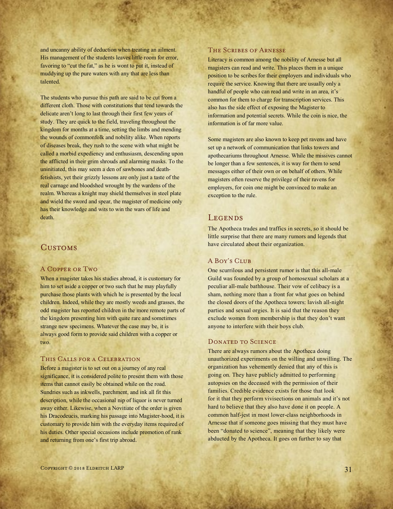and uncanny ability of deduction when treating an ailment. His management of the students leaves little room for error, favoring to "cut the fat," as he is wont to put it, instead of muddying up the pure waters with any that are less than talented.

The students who pursue this path are said to be cut from a different cloth. Those with constitutions that tend towards the delicate aren't long to last through their first few years of study. They are quick to the field, traveling throughout the kingdom for months at a time, setting the limbs and mending the wounds of commonfolk and nobility alike. When reports of diseases break, they rush to the scene with what might be called a morbid expediency and enthusiasm, descending upon the afflicted in their grim shrouds and alarming masks. To the uninitiated, this may seem a den of sawbones and deathfetishists, yet their grizzly lessons are only just a taste of the real carnage and bloodshed wrought by the wardens of the realm. Whereas a knight may shield themselves in steel plate and wield the sword and spear, the magister of medicine only has their knowledge and wits to win the wars of life and death.

# **CUSTOMS**

#### A Copper or Two

When a magister takes his studies abroad, it is customary for him to set aside a copper or two such that he may playfully purchase those plants with which he is presented by the local children. Indeed, while they are mostly weeds and grasses, the odd magister has reported children in the more remote parts of the kingdom presenting him with quite rare and sometimes strange new specimens. Whatever the case may be, it is always good form to provide said children with a copper or two.

## This Calls for a Celebration

Before a magister is to set out on a journey of any real significance, it is considered polite to present them with those items that cannot easily be obtained while on the road. Sundries such as inkwells, parchment, and ink all fit this description, while the occasional nip of liquor is never turned away either. Likewise, when a Novitiate of the order is given his Dracodeucis, marking his passage into Magister-hood, it is customary to provide him with the everyday items required of his duties. Other special occasions include promotion of rank and returning from one's first trip abroad.

#### The Scribes of Arnesse

Literacy is common among the nobility of Arnesse but all magisters can read and write. This places them in a unique position to be scribes for their employers and individuals who require the service. Knowing that there are usually only a handful of people who can read and write in an area, it's common for them to charge for transcription services. This also has the side effect of exposing the Magister to information and potential secrets. While the coin is nice, the information is of far more value.

Some magisters are also known to keep pet ravens and have set up a network of communication that links towers and apothecariums throughout Arnesse. While the missives cannot be longer than a few sentences, it is way for them to send messages either of their own or on behalf of others. While magisters often reserve the privilege of their ravens for employers, for coin one might be convinced to make an exception to the rule.

#### **LEGENDS**

The Apotheca trades and traffics in secrets, so it should be little surprise that there are many rumors and legends that have circulated about their organization.

### A Boy's Club

One scurrilous and persistent rumor is that this all-male Guild was founded by a group of homosexual scholars at a peculiar all-male bathhouse. Their vow of celibacy is a sham, nothing more than a front for what goes on behind the closed doors of the Apotheca towers: lavish all-night parties and sexual orgies. It is said that the reason they exclude women from membership is that they don't want anyone to interfere with their boys club.

#### DONATED TO SCIENCE

There are always rumors about the Apotheca doing unauthorized experiments on the willing and unwilling. The organization has vehemently denied that any of this is going on. They have publicly admitted to performing autopsies on the deceased with the permission of their families. Credible evidence exists for those that look for it that they perform vivisections on animals and it's not hard to believe that they also have done it on people. A common half-jest in most lower-class neighborhoods in Arnesse that if someone goes missing that they must have been "donated to science", meaning that they likely were abducted by the Apotheca. It goes on further to say that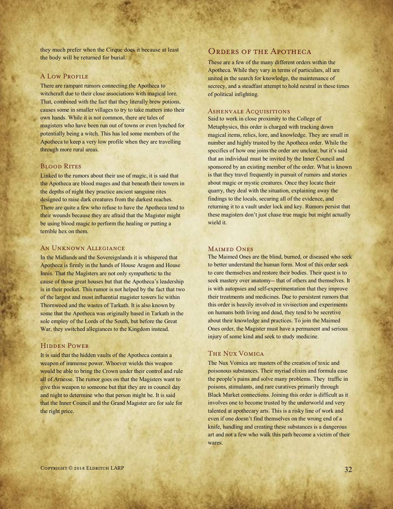they much prefer when the Cirque does it because at least the body will be returned for burial.

#### **A LOW PROFILE**

There are rampant rumors connecting the Apotheca to witchcraft due to their close associations with magical lore. That, combined with the fact that they literally brew potions, causes some in smaller villages to try to take matters into their own hands. While it is not common, there are tales of magisters who have been run out of towns or even lynched for potentially being a witch. This has led some members of the Apotheca to keep a very low profile when they are travelling through more rural areas.

### **BLOOD RITES**

Linked to the rumors about their use of magic, it is said that the Apotheca are blood mages and that beneath their towers in the depths of night they practice ancient sanguine rites designed to raise dark creatures from the darkest reaches. There are quite a few who refuse to have the Apotheca tend to their wounds because they are afraid that the Magister might be using blood magic to perform the healing or putting a terrible hex on them.

### AN UNKNOWN ALLEGIANCE

In the Midlands and the Sovereignlands it is whispered that Apotheca is firmly in the hands of House Aragon and House Innis. That the Magisters are not only sympathetic to the cause of those great houses but that the Apotheca's leadership is in their pocket. This rumor is not helped by the fact that two of the largest and most influential magister towers lie within Thornwood and the wastes of Tarkath. It is also known by some that the Apotheca was originally based in Tarkath in the sole employ of the Lords of the South, but before the Great War, they switched allegiances to the Kingdom instead.

## Hidden Power

It is said that the hidden vaults of the Apotheca contain a weapon of immense power. Whoever wields this weapon would be able to bring the Crown under their control and rule all of Arnesse. The rumor goes on that the Magisters want to give this weapon to someone but that they are in council day and night to determine who that person might be. It is said that the Inner Council and the Grand Magister are for sale for the right price.

## ORDERS OF THE APOTHECA

These are a few of the many different orders within the Apotheca. While they vary in terms of particulars, all are united in the search for knowledge, the maintenance of secrecy, and a steadfast attempt to hold neutral in these times of political infighting.

#### ASHENVALE ACQUISITIONS

Said to work in close proximity to the College of Metaphysics, this order is charged with tracking down magical items, relics, lore, and knowledge. They are small in number and highly trusted by the Apotheca order. While the specifics of how one joins the order are unclear, but it's said that an individual must be invited by the Inner Council and sponsored by an existing member of the order. What is known is that they travel frequently in pursuit of rumors and stories about magic or mystic creatures. Once they locate their quarry, they deal with the situation, explaining away the findings to the locals, securing all of the evidence, and returning it to a vault under lock and key. Rumors persist that these magisters don't just chase true magic but might actually wield it.

#### MAIMED ONES

The Maimed Ones are the blind, burned, or diseased who seek to better understand the human form. Most of this order seek to cure themselves and restore their bodies. Their quest is to seek mastery over anatomy-- that of others and themselves. It is with autopsies and self-experimentation that they improve their treatments and medicines. Due to persistent rumors that this order is heavily involved in vivisection and experiments on humans both living and dead, they tend to be secretive about their knowledge and practices. To join the Maimed Ones order, the Magister must have a permanent and serious injury of some kind and seek to study medicine.

#### The Nux Vomica

The Nux Vomica are masters of the creation of toxic and poisonous substances. Their myriad elixirs and formula ease the people's pains and solve many problems. They traffic in poisons, stimulants, and rare curatives primarily through Black Market connections. Joining this order is difficult as it involves one to become trusted by the underworld and very talented at apothecary arts. This is a risky line of work and even if one doesn't find themselves on the wrong end of a knife, handling and creating these substances is a dangerous art and not a few who walk this path become a victim of their wares.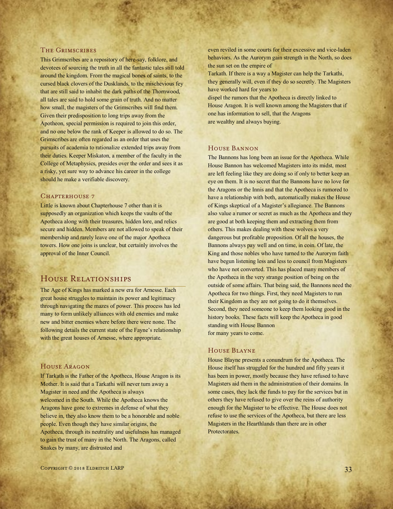#### The Grimscribes

This Grimscribes are a repository of here-say, folklore, and devotees of sourcing the truth in all the fantastic tales still told around the kingdom. From the magical bones of saints, to the cursed black clovers of the Dusklands, to the mischevious fey that are still said to inhabit the dark paths of the Thornwood, all tales are said to hold some grain of truth. And no matter how small, the magisters of the Grimscribes will find them. Given their predisposition to long trips away from the Apotheon, special permission is required to join this order, and no one below the rank of Keeper is allowed to do so. The Grimscribes are often regarded as an order that uses the pursuits of academia to rationalize extended trips away from their duties. Keeper Miskaton, a member of the faculty in the College of Metaphysics, presides over the order and sees it as a risky, yet sure way to advance his career in the college should he make a verifiable discovery.

#### CHAPTERHOUSE 7

Little is known about Chapterhouse 7 other than it is supposedly an organization which keeps the vaults of the Apotheca along with their treasures, hidden lore, and relics secure and hidden. Members are not allowed to speak of their membership and rarely leave one of the major Apotheca towers. How one joins is unclear, but certainly involves the approval of the Inner Council.

# House Relationships

The Age of Kings has marked a new era for Arnesse. Each great house struggles to maintain its power and legitimacy through navigating the mazes of power. This process has led many to form unlikely alliances with old enemies and make new and bitter enemies where before there were none. The following details the current state of the Fayne's relationship with the great houses of Arnesse, where appropriate.

#### House Aragon

If Tarkath is the Father of the Apotheca, House Aragon is its Mother. It is said that a Tarkathi will never turn away a Magister in need and the Apotheca is always welcomed in the South. While the Apotheca knows the Aragons have gone to extremes in defense of what they believe in, they also know them to be a honorable and noble people. Even though they have similar origins, the Apotheca, through its neutrality and usefulness has managed to gain the trust of many in the North. The Aragons, called Snakes by many, are distrusted and

Tarkath. If there is a way a Magister can help the Tarkathi, they generally will, even if they do so secretly. The Magisters have worked hard for years to

dispel the rumors that the Apotheca is directly linked to House Aragon. It is well known among the Magisters that if one has information to sell, that the Aragons are wealthy and always buying.

## House Bannon

The Bannons has long been an issue for the Apotheca. While House Bannon has welcomed Magisters into its midst, most are left feeling like they are doing so if only to better keep an eye on them. It is no secret that the Bannons have no love for the Aragons or the Innis and that the Apotheca is rumored to have a relationship with both, automatically makes the House of Kings skeptical of a Magister's allegiance. The Bannons also value a rumor or secret as much as the Apotheca and they are good at both keeping them and extracting them from others. This makes dealing with these wolves a very dangerous but profitable proposition. Of all the houses, the Bannons always pay well and on time, in coin. Of late, the King and those nobles who have turned to the Aurorym faith have begun listening less and less to council from Magisters who have not converted. This has placed many members of the Apotheca in the very strange position of being on the outside of some affairs. That being said, the Bannons need the Apotheca for two things. First, they need Magisters to run their Kingdom as they are not going to do it themselves. Second, they need someone to keep them looking good in the history books. These facts will keep the Apotheca in good standing with House Bannon for many years to come.

#### House Blayne

House Blayne presents a conundrum for the Apotheca. The House itself has struggled for the hundred and fifty years it has been in power, mostly because they have refused to have Magisters aid them in the administration of their domains. In some cases, they lack the funds to pay for the services but in others they have refused to give over the reins of authority enough for the Magister to be effective. The House does not refuse to use the services of the Apotheca, but there are less Magisters in the Hearthlands than there are in other Protectorates.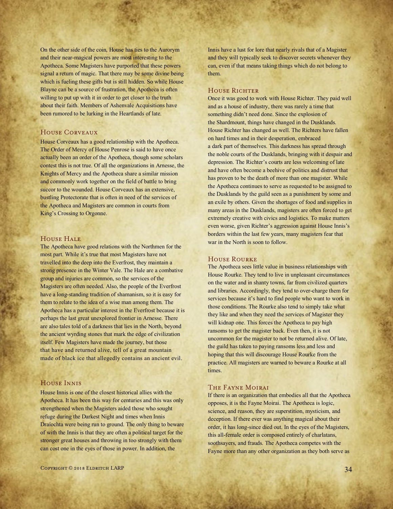On the other side of the coin, House has ties to the Aurorym and their near-magical powers are most interesting to the Apotheca. Some Magisters have purported that these powers signal a return of magic. That there may be some divine being which is fueling these gifts but is still hidden. So while House Blayne can be a source of frustration, the Apotheca is often willing to put up with it in order to get closer to the truth about their faith. Members of Ashenvale Acquisitions have been rumored to be lurking in the Heartlands of late.

#### House Corveaux

House Corveaux has a good relationship with the Apotheca. The Order of Mercy of House Penrose is said to have once actually been an order of the Apotheca, though some scholars contest this is not true. Of all the organizations in Arnesse, the Knights of Mercy and the Apotheca share a similar mission and commonly work together on the field of battle to bring succor to the wounded. House Corveaux has an extensive, bustling Protectorate that is often in need of the services of the Apotheca and Magisters are common in courts from King's Crossing to Orgonne.

#### HOUSE HALE

The Apotheca have good relations with the Northmen for the most part. While it's true that most Magisters have not travelled into the deep into the Everfrost, they maintain a strong presence in the Winter Vale. The Hale are a combative group and injuries are common, so the services of the Magisters are often needed. Also, the people of the Everfrost have a long-standing tradition of shamanism, so it is easy for them to relate to the idea of a wise man among them. The Apotheca has a particular interest in the Everfrost because it is perhaps the last great unexplored frontier in Arnesse. There are also tales told of a darkness that lies in the North, beyond the ancient wyrding stones that mark the edge of civilization itself. Few Magisters have made the journey, but those that have and returned alive, tell of a great mountain made of black ice that allegedly contains an ancient evil.

#### House Innis

House Innis is one of the closest historical allies with the Apotheca. It has been this way for centuries and this was only strengthened when the Magisters aided those who sought refuge during the Darkest Night and times when Innis Draíochta were being run to ground. The only thing to beware of with the Innis is that they are often a political target for the stronger great houses and throwing in too strongly with them can cost one in the eyes of those in power. In addition, the

Innis have a lust for lore that nearly rivals that of a Magister and they will typically seek to discover secrets whenever they can, even if that means taking things which do not belong to them.

#### HOUSE RICHTER

Once it was good to work with House Richter. They paid well and as a house of industry, there was rarely a time that something didn't need done. Since the explosion of the Shardmount, things have changed in the Dusklands. House Richter has changed as well. The Richters have fallen on hard times and in their desperation, embraced a dark part of themselves. This darkness has spread through the noble courts of the Dusklands, bringing with it despair and depression. The Richter's courts are less welcoming of late and have often become a beehive of politics and distrust that has proven to be the death of more than one magister. While the Apotheca continues to serve as requested to be assigned to the Dusklands by the guild seen as a punishment by some and an exile by others. Given the shortages of food and supplies in many areas in the Dusklands, magisters are often forced to get extremely creative with civics and logistics. To make matters even worse, given Richter's aggression against House Innis's borders within the last few years, many magisters fear that war in the North is soon to follow.

#### House Rourke

The Apotheca sees little value in business relationships with House Rourke. They tend to live in unpleasant circumstances on the water and in shanty towns, far from civilized quarters and libraries. Accordingly, they tend to over-charge them for services because it's hard to find people who want to work in those conditions. The Rourke also tend to simply take what they like and when they need the services of Magister they will kidnap one. This forces the Apotheca to pay high ransoms to get the magister back. Even then, it is not uncommon for the magister to not be returned alive. Of late, the guild has taken to paying ransoms less and less and hoping that this will discourage House Rourke from the practice. All magisters are warned to beware a Rourke at all times.

#### The Fayne Moirai

If there is an organization that embodies all that the Apotheca opposes, it is the Fayne Moirai. The Apotheca is logic, science, and reason, they are superstition, mysticism, and deception. If there ever was anything magical about their order, it has long-since died out. In the eyes of the Magisters, this all-female order is composed entirely of charlatans, soothsayers, and frauds. The Apotheca competes with the Fayne more than any other organization as they both serve as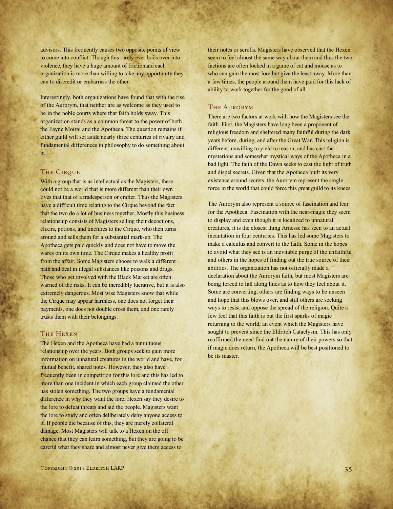advisors. This frequently causes two opposite points of view to come into conflict. Though this rarely ever boils over into violence, they have a huge amount of frictionand each organization is more than willing to take any opportunity they can to discredit or embarrass the other.

Interestingly, both organizations have found that with the rise of the Aurorym, that neither are as welcome as they used to be in the noble courts where that faith holds sway. This organization stands as a common threat to the power of both the Fayne Moirai and the Apotheca. The question remains if either guild will set aside nearly three centuries of rivalry and fundamental differences in philosophy to do something about it.

#### **THE CIRQUE**

With a group that is as intellectual as the Magisters, there could not be a world that is more different than their own lives that that of a tradesperson or crafter. Thus the Magisters have a difficult time relating to the Cirque beyond the fact that the two do a lot of business together. Mostly this business relationship consists of Magisters selling their decoctions, elixirs, potions, and tinctures to the Cirque, who then turns around and sells them for a substantial mark-up. The Apotheca gets paid quickly and does not have to move the wares on its own time. The Cirque makes a healthy profit from the affair. Some Magisters choose to walk a different path and deal in illegal substances like poisons and drugs. Those who get involved with the Black Market are often warned of the risks. It can be incredibly lucrative, but it is also extremely dangerous. Most wise Magisters know that while the Cirque may appear harmless, one does not forget their payments, one does not double cross them, and one rarely trusts them with their belongings.

## The Hexen

The Hexen and the Apotheca have had a tumultuous relationship over the years. Both groups seek to gain more information on unnatural creatures in the world and have, for mutual benefit, shared notes. However, they also have frequently been in competition for this lore and this has led to more than one incident in which each group claimed the other has stolen something. The two groups have a fundamental difference in why they want the lore. Hexen say they desire to the lore to defeat threats and aid the people. Magisters want the lore to study and often deliberately deny anyone access to it. If people die because of this, they are merely collateral damage. Most Magisters will talk to a Hexen on the off chance that they can learn something, but they are going to be careful what they share and almost never give them access to

their notes or scrolls. Magisters have observed that the Hexen seem to feel almost the same way about them and thus the two factions are often locked in a game of cat and mouse as to who can gain the most lore but give the least away. More than a few times, the people around them have paid for this lack of ability to work together for the good of all.

#### The Aurorym

There are two factors at work with how the Magisters see the faith. First, the Magisters have long been a proponent of religious freedom and sheltered many faithful during the dark years before, during, and after the Great War. This religion is different, unwilling to yield to reason, and has cast the mysterious and somewhat mystical ways of the Apotheca in a bad light. The faith of the Dawn seeks to cast the light of truth and dispel secrets. Given that the Apotheca built its very existence around secrets, the Aurorym represent the single force in the world that could force this great guild to its knees.

The Aurorym also represent a source of fascination and fear for the Apotheca. Fascination with the near-magic they seem to display and even though it is localized to unnatural creatures, it is the closest thing Arnesse has seen to an actual incantation in four centuries. This has led some Magisters to make a calculus and convert to the faith. Some in the hopes to avoid what they see is an inevitable purge of the unfaithful and others in the hopes of finding out the true source of their abilities. The organization has not officially made a declaration about the Aurorym faith, but most Magisters are being forced to fall along lines as to how they feel about it. Some are converting, others are finding ways to be unseen and hope that this blows over, and still others are seeking ways to resist and oppose the spread of the religion. Quite a few feel that this faith is but the first sparks of magic returning to the world, an event which the Magisters have sought to prevent since the Eldritch Cataclysm. This has only reaffirmed the need find out the nature of their powers so that if magic does return, the Apotheca will be best positioned to be its master.